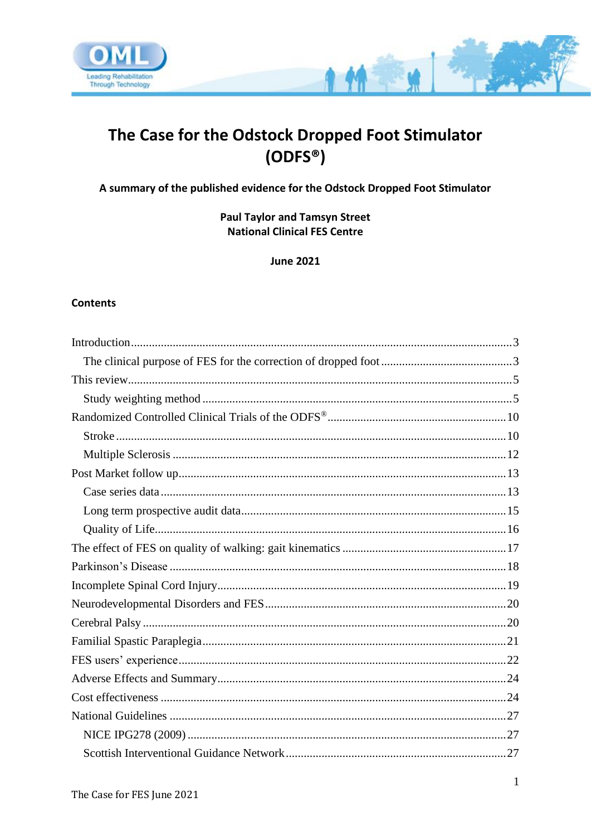

# The Case for the Odstock Dropped Foot Stimulator  $(ODFS<sup>®</sup>)$

**TAN** 

A summary of the published evidence for the Odstock Dropped Foot Stimulator

**Paul Taylor and Tamsyn Street National Clinical FES Centre** 

**June 2021** 

#### **Contents**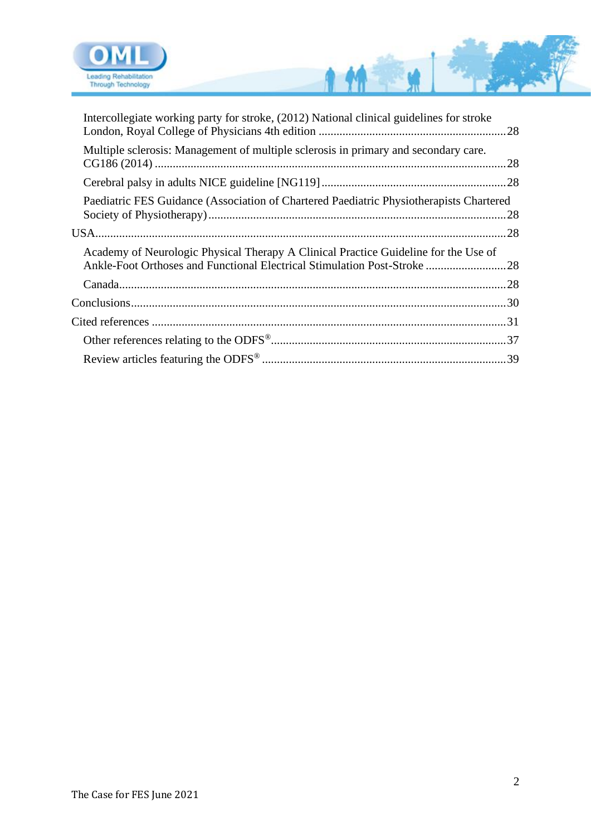

| Intercollegiate working party for stroke, (2012) National clinical guidelines for stroke                                                                        |  |
|-----------------------------------------------------------------------------------------------------------------------------------------------------------------|--|
| Multiple sclerosis: Management of multiple sclerosis in primary and secondary care.                                                                             |  |
|                                                                                                                                                                 |  |
| Paediatric FES Guidance (Association of Chartered Paediatric Physiotherapists Chartered                                                                         |  |
|                                                                                                                                                                 |  |
| Academy of Neurologic Physical Therapy A Clinical Practice Guideline for the Use of<br>Ankle-Foot Orthoses and Functional Electrical Stimulation Post-Stroke 28 |  |
|                                                                                                                                                                 |  |
|                                                                                                                                                                 |  |
|                                                                                                                                                                 |  |
|                                                                                                                                                                 |  |
|                                                                                                                                                                 |  |

111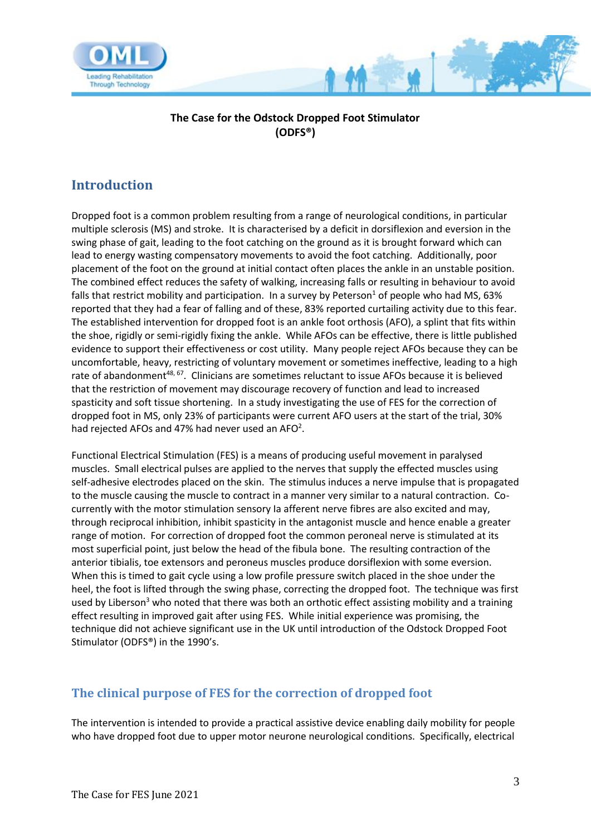

#### **The Case for the Odstock Dropped Foot Stimulator (ODFS®)**

# <span id="page-2-0"></span>**Introduction**

Dropped foot is a common problem resulting from a range of neurological conditions, in particular multiple sclerosis (MS) and stroke. It is characterised by a deficit in dorsiflexion and eversion in the swing phase of gait, leading to the foot catching on the ground as it is brought forward which can lead to energy wasting compensatory movements to avoid the foot catching. Additionally, poor placement of the foot on the ground at initial contact often places the ankle in an unstable position. The combined effect reduces the safety of walking, increasing falls or resulting in behaviour to avoid falls that restrict mobility and participation. In a survey by Peterson<sup>1</sup> of people who had MS, 63% reported that they had a fear of falling and of these, 83% reported curtailing activity due to this fear. The established intervention for dropped foot is an ankle foot orthosis (AFO), a splint that fits within the shoe, rigidly or semi-rigidly fixing the ankle. While AFOs can be effective, there is little published evidence to support their effectiveness or cost utility. Many people reject AFOs because they can be uncomfortable, heavy, restricting of voluntary movement or sometimes ineffective, leading to a high rate of abandonment<sup>48, 67</sup>. Clinicians are sometimes reluctant to issue AFOs because it is believed that the restriction of movement may discourage recovery of function and lead to increased spasticity and soft tissue shortening. In a study investigating the use of FES for the correction of dropped foot in MS, only 23% of participants were current AFO users at the start of the trial, 30% had rejected AFOs and 47% had never used an AFO<sup>2</sup>.

Functional Electrical Stimulation (FES) is a means of producing useful movement in paralysed muscles. Small electrical pulses are applied to the nerves that supply the effected muscles using self-adhesive electrodes placed on the skin. The stimulus induces a nerve impulse that is propagated to the muscle causing the muscle to contract in a manner very similar to a natural contraction. Cocurrently with the motor stimulation sensory Ia afferent nerve fibres are also excited and may, through reciprocal inhibition, inhibit spasticity in the antagonist muscle and hence enable a greater range of motion. For correction of dropped foot the common peroneal nerve is stimulated at its most superficial point, just below the head of the fibula bone. The resulting contraction of the anterior tibialis, toe extensors and peroneus muscles produce dorsiflexion with some eversion. When this is timed to gait cycle using a low profile pressure switch placed in the shoe under the heel, the foot is lifted through the swing phase, correcting the dropped foot. The technique was first used by Liberson<sup>3</sup> who noted that there was both an orthotic effect assisting mobility and a training effect resulting in improved gait after using FES. While initial experience was promising, the technique did not achieve significant use in the UK until introduction of the Odstock Dropped Foot Stimulator (ODFS®) in the 1990's.

#### <span id="page-2-1"></span>**The clinical purpose of FES for the correction of dropped foot**

The intervention is intended to provide a practical assistive device enabling daily mobility for people who have dropped foot due to upper motor neurone neurological conditions. Specifically, electrical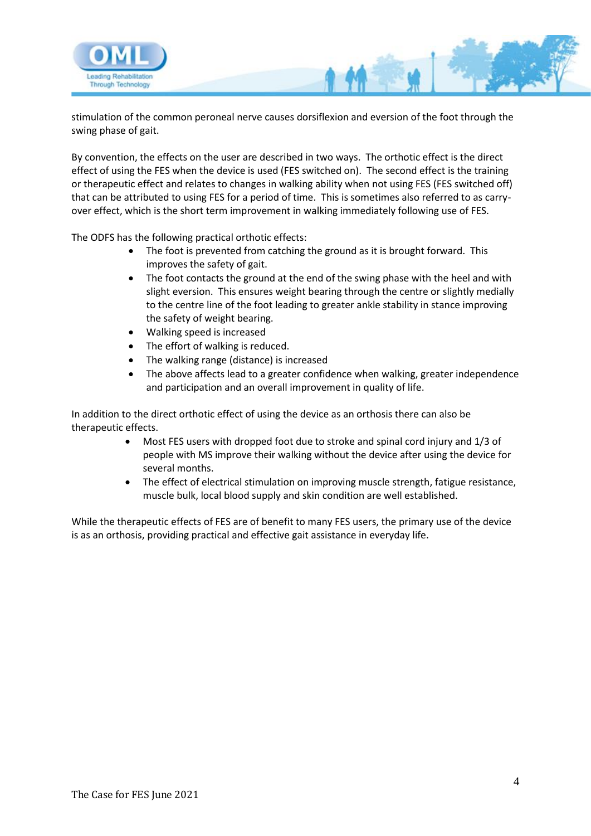

stimulation of the common peroneal nerve causes dorsiflexion and eversion of the foot through the swing phase of gait.

By convention, the effects on the user are described in two ways. The orthotic effect is the direct effect of using the FES when the device is used (FES switched on). The second effect is the training or therapeutic effect and relates to changes in walking ability when not using FES (FES switched off) that can be attributed to using FES for a period of time. This is sometimes also referred to as carryover effect, which is the short term improvement in walking immediately following use of FES.

The ODFS has the following practical orthotic effects:

- The foot is prevented from catching the ground as it is brought forward. This improves the safety of gait.
- The foot contacts the ground at the end of the swing phase with the heel and with slight eversion. This ensures weight bearing through the centre or slightly medially to the centre line of the foot leading to greater ankle stability in stance improving the safety of weight bearing.
- Walking speed is increased
- The effort of walking is reduced.
- The walking range (distance) is increased
- The above affects lead to a greater confidence when walking, greater independence and participation and an overall improvement in quality of life.

In addition to the direct orthotic effect of using the device as an orthosis there can also be therapeutic effects.

- Most FES users with dropped foot due to stroke and spinal cord injury and 1/3 of people with MS improve their walking without the device after using the device for several months.
- The effect of electrical stimulation on improving muscle strength, fatigue resistance, muscle bulk, local blood supply and skin condition are well established.

While the therapeutic effects of FES are of benefit to many FES users, the primary use of the device is as an orthosis, providing practical and effective gait assistance in everyday life.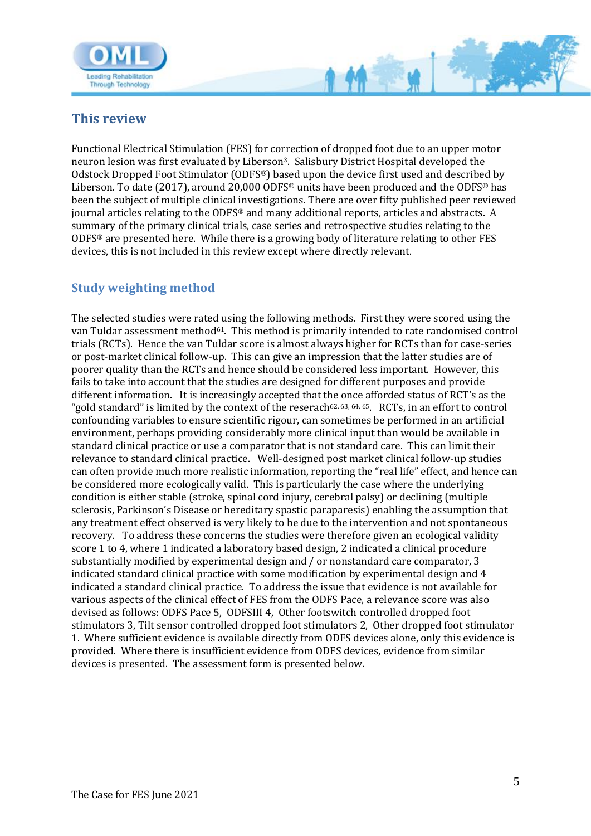

<span id="page-4-0"></span>

Functional Electrical Stimulation (FES) for correction of dropped foot due to an upper motor neuron lesion was first evaluated by Liberson3. Salisbury District Hospital developed the Odstock Dropped Foot Stimulator (ODFS®) based upon the device first used and described by Liberson. To date (2017), around 20,000 ODFS<sup>®</sup> units have been produced and the ODFS<sup>®</sup> has been the subject of multiple clinical investigations. There are over fifty published peer reviewed journal articles relating to the ODFS® and many additional reports, articles and abstracts. A summary of the primary clinical trials, case series and retrospective studies relating to the ODFS® are presented here. While there is a growing body of literature relating to other FES devices, this is not included in this review except where directly relevant.

 $M -$ 

### <span id="page-4-1"></span>**Study weighting method**

The selected studies were rated using the following methods. First they were scored using the van Tuldar assessment method<sup>61</sup>. This method is primarily intended to rate randomised control trials (RCTs). Hence the van Tuldar score is almost always higher for RCTs than for case-series or post-market clinical follow-up. This can give an impression that the latter studies are of poorer quality than the RCTs and hence should be considered less important. However, this fails to take into account that the studies are designed for different purposes and provide different information. It is increasingly accepted that the once afforded status of RCT's as the "gold standard" is limited by the context of the reserach<sup>62, 63, 64, 65</sup>. RCTs, in an effort to control confounding variables to ensure scientific rigour, can sometimes be performed in an artificial environment, perhaps providing considerably more clinical input than would be available in standard clinical practice or use a comparator that is not standard care. This can limit their relevance to standard clinical practice. Well-designed post market clinical follow-up studies can often provide much more realistic information, reporting the "real life" effect, and hence can be considered more ecologically valid. This is particularly the case where the underlying condition is either stable (stroke, spinal cord injury, cerebral palsy) or declining (multiple sclerosis, Parkinson's Disease or hereditary spastic paraparesis) enabling the assumption that any treatment effect observed is very likely to be due to the intervention and not spontaneous recovery. To address these concerns the studies were therefore given an ecological validity score 1 to 4, where 1 indicated a laboratory based design, 2 indicated a clinical procedure substantially modified by experimental design and / or nonstandard care comparator, 3 indicated standard clinical practice with some modification by experimental design and 4 indicated a standard clinical practice. To address the issue that evidence is not available for various aspects of the clinical effect of FES from the ODFS Pace, a relevance score was also devised as follows: ODFS Pace 5, ODFSIII 4, Other footswitch controlled dropped foot stimulators 3, Tilt sensor controlled dropped foot stimulators 2, Other dropped foot stimulator 1. Where sufficient evidence is available directly from ODFS devices alone, only this evidence is provided. Where there is insufficient evidence from ODFS devices, evidence from similar devices is presented. The assessment form is presented below.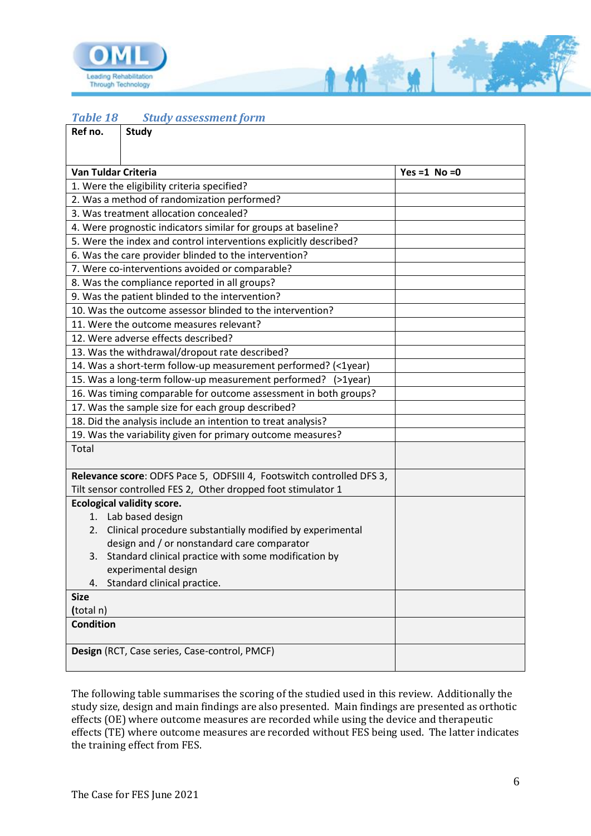

*Table 18 Study assessment form*

| Ref no.             | <b>Study</b>                                                                          |                 |
|---------------------|---------------------------------------------------------------------------------------|-----------------|
|                     |                                                                                       |                 |
| Van Tuldar Criteria |                                                                                       | Yes =1 $No = 0$ |
|                     | 1. Were the eligibility criteria specified?                                           |                 |
|                     |                                                                                       |                 |
|                     | 2. Was a method of randomization performed?<br>3. Was treatment allocation concealed? |                 |
|                     | 4. Were prognostic indicators similar for groups at baseline?                         |                 |
|                     | 5. Were the index and control interventions explicitly described?                     |                 |
|                     | 6. Was the care provider blinded to the intervention?                                 |                 |
|                     | 7. Were co-interventions avoided or comparable?                                       |                 |
|                     | 8. Was the compliance reported in all groups?                                         |                 |
|                     | 9. Was the patient blinded to the intervention?                                       |                 |
|                     | 10. Was the outcome assessor blinded to the intervention?                             |                 |
|                     | 11. Were the outcome measures relevant?                                               |                 |
|                     | 12. Were adverse effects described?                                                   |                 |
|                     | 13. Was the withdrawal/dropout rate described?                                        |                 |
|                     | 14. Was a short-term follow-up measurement performed? (<1year)                        |                 |
|                     | 15. Was a long-term follow-up measurement performed? (>1year)                         |                 |
|                     | 16. Was timing comparable for outcome assessment in both groups?                      |                 |
|                     | 17. Was the sample size for each group described?                                     |                 |
|                     | 18. Did the analysis include an intention to treat analysis?                          |                 |
|                     | 19. Was the variability given for primary outcome measures?                           |                 |
| Total               |                                                                                       |                 |
|                     | Relevance score: ODFS Pace 5, ODFSIII 4, Footswitch controlled DFS 3,                 |                 |
|                     | Tilt sensor controlled FES 2, Other dropped foot stimulator 1                         |                 |
|                     | <b>Ecological validity score.</b>                                                     |                 |
|                     | 1. Lab based design                                                                   |                 |
| 2.                  | Clinical procedure substantially modified by experimental                             |                 |
|                     | design and / or nonstandard care comparator                                           |                 |
|                     | 3. Standard clinical practice with some modification by                               |                 |
|                     | experimental design                                                                   |                 |
| 4.                  | Standard clinical practice.                                                           |                 |
| <b>Size</b>         |                                                                                       |                 |
| (total n)           |                                                                                       |                 |
| <b>Condition</b>    |                                                                                       |                 |
|                     | Design (RCT, Case series, Case-control, PMCF)                                         |                 |
|                     |                                                                                       |                 |

111

a<br>Barat

The following table summarises the scoring of the studied used in this review. Additionally the study size, design and main findings are also presented. Main findings are presented as orthotic effects (OE) where outcome measures are recorded while using the device and therapeutic effects (TE) where outcome measures are recorded without FES being used. The latter indicates the training effect from FES.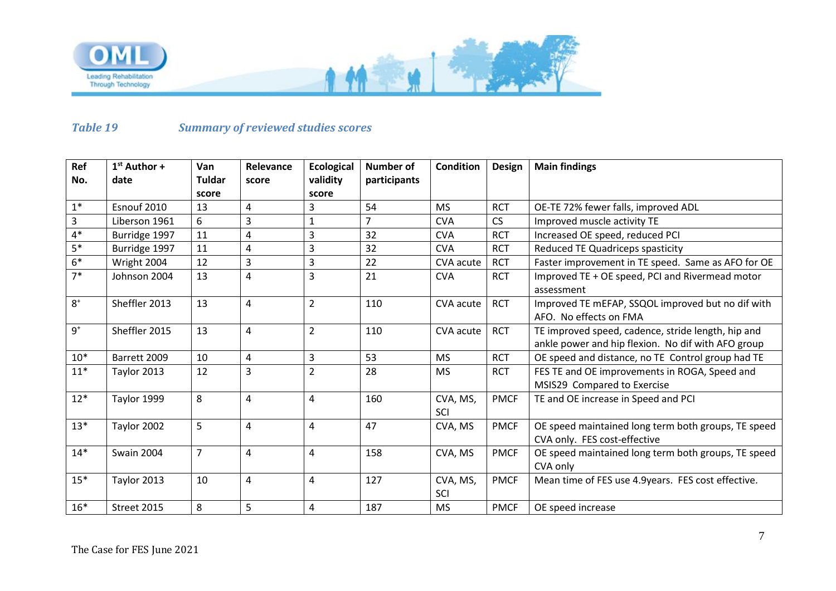

#### *Table 19 Summary of reviewed studies scores*

| Ref                        | $1st$ Author +    | Van           | Relevance               | <b>Ecological</b> | <b>Number of</b> | <b>Condition</b> | <b>Design</b> | <b>Main findings</b>                                                                                     |
|----------------------------|-------------------|---------------|-------------------------|-------------------|------------------|------------------|---------------|----------------------------------------------------------------------------------------------------------|
| No.                        | date              | <b>Tuldar</b> | score                   | validity          | participants     |                  |               |                                                                                                          |
|                            |                   | score         |                         | score             |                  |                  |               |                                                                                                          |
| $1^\ast$                   | Esnouf 2010       | 13            | 4                       | 3                 | 54               | <b>MS</b>        | <b>RCT</b>    | OE-TE 72% fewer falls, improved ADL                                                                      |
| 3                          | Liberson 1961     | 6             | $\overline{\mathbf{3}}$ | 1                 | $\overline{7}$   | <b>CVA</b>       | <b>CS</b>     | Improved muscle activity TE                                                                              |
| $4*$                       | Burridge 1997     | 11            | 4                       | 3                 | 32               | <b>CVA</b>       | <b>RCT</b>    | Increased OE speed, reduced PCI                                                                          |
| $5*$                       | Burridge 1997     | 11            | 4                       | 3                 | 32               | <b>CVA</b>       | <b>RCT</b>    | Reduced TE Quadriceps spasticity                                                                         |
| $6*$                       | Wright 2004       | 12            | $\overline{3}$          | 3                 | 22               | CVA acute        | <b>RCT</b>    | Faster improvement in TE speed. Same as AFO for OE                                                       |
| $7*$                       | Johnson 2004      | 13            | 4                       | 3                 | 21               | <b>CVA</b>       | <b>RCT</b>    | Improved TE + OE speed, PCI and Rivermead motor<br>assessment                                            |
| $8+$                       | Sheffler 2013     | 13            | 4                       | $\overline{2}$    | 110              | CVA acute        | <b>RCT</b>    | Improved TE mEFAP, SSQOL improved but no dif with<br>AFO. No effects on FMA                              |
| $9^{\scriptscriptstyle +}$ | Sheffler 2015     | 13            | $\overline{4}$          | $\overline{2}$    | 110              | CVA acute        | <b>RCT</b>    | TE improved speed, cadence, stride length, hip and<br>ankle power and hip flexion. No dif with AFO group |
| $10*$                      | Barrett 2009      | 10            | $\pmb{4}$               | 3                 | 53               | <b>MS</b>        | <b>RCT</b>    | OE speed and distance, no TE Control group had TE                                                        |
| $11*$                      | Taylor 2013       | 12            | $\overline{3}$          | $\overline{2}$    | 28               | <b>MS</b>        | <b>RCT</b>    | FES TE and OE improvements in ROGA, Speed and<br>MSIS29 Compared to Exercise                             |
| $12*$                      | Taylor 1999       | 8             | $\overline{4}$          | 4                 | 160              | CVA, MS,<br>SCI  | <b>PMCF</b>   | TE and OE increase in Speed and PCI                                                                      |
| $13*$                      | Taylor 2002       | 5             | 4                       | 4                 | 47               | CVA, MS          | <b>PMCF</b>   | OE speed maintained long term both groups, TE speed<br>CVA only. FES cost-effective                      |
| $14*$                      | <b>Swain 2004</b> | 7             | $\overline{4}$          | 4                 | 158              | CVA, MS          | <b>PMCF</b>   | OE speed maintained long term both groups, TE speed<br>CVA only                                          |
| $15*$                      | Taylor 2013       | 10            | $\pmb{4}$               | 4                 | 127              | CVA, MS,<br>SCI  | <b>PMCF</b>   | Mean time of FES use 4.9years. FES cost effective.                                                       |
| $16*$                      | Street 2015       | 8             | 5                       | 4                 | 187              | <b>MS</b>        | <b>PMCF</b>   | OE speed increase                                                                                        |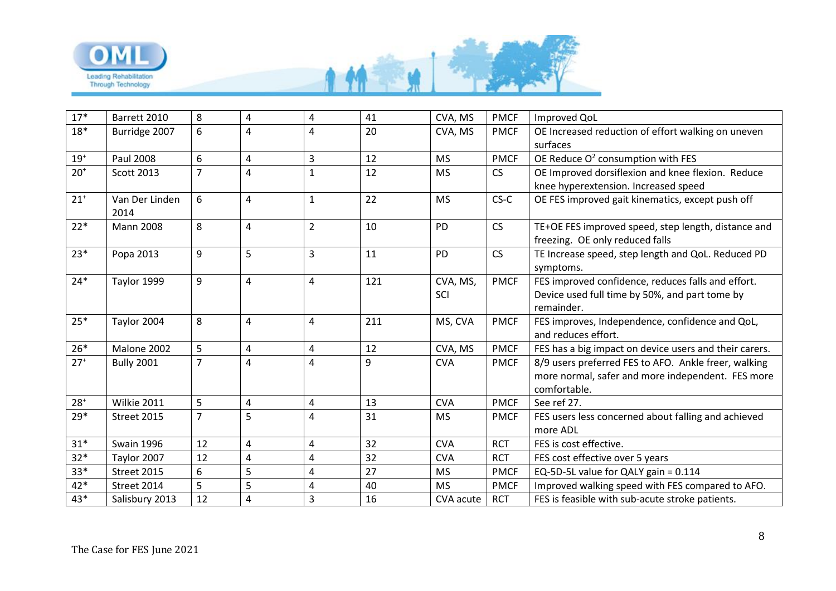

| $17*$        | Barrett 2010      | 8              | $\overline{\mathbf{4}}$ | 4                       | 41  | CVA, MS    | <b>PMCF</b> | Improved QoL                                           |
|--------------|-------------------|----------------|-------------------------|-------------------------|-----|------------|-------------|--------------------------------------------------------|
| $18*$        | Burridge 2007     | 6              | 4                       | 4                       | 20  | CVA, MS    | <b>PMCF</b> | OE Increased reduction of effort walking on uneven     |
|              |                   |                |                         |                         |     |            |             | surfaces                                               |
| $19+$        | Paul 2008         | 6              | 4                       | 3                       | 12  | <b>MS</b>  | <b>PMCF</b> | OE Reduce $O^2$ consumption with FES                   |
| $20+$        | Scott 2013        | $\overline{7}$ | $\overline{4}$          | $\mathbf{1}$            | 12  | <b>MS</b>  | CS          | OE Improved dorsiflexion and knee flexion. Reduce      |
|              |                   |                |                         |                         |     |            |             | knee hyperextension. Increased speed                   |
| $21^{+}$     | Van Der Linden    | 6              | $\overline{4}$          | $\mathbf{1}$            | 22  | <b>MS</b>  | $CS-C$      | OE FES improved gait kinematics, except push off       |
|              | 2014              |                |                         |                         |     |            |             |                                                        |
| $22*$        | <b>Mann 2008</b>  | 8              | $\overline{\mathbf{4}}$ | $\overline{2}$          | 10  | <b>PD</b>  | CS          | TE+OE FES improved speed, step length, distance and    |
|              |                   |                |                         |                         |     |            |             | freezing. OE only reduced falls                        |
| $23*$        | Popa 2013         | 9              | 5                       | 3                       | 11  | <b>PD</b>  | CS          | TE Increase speed, step length and QoL. Reduced PD     |
|              |                   |                |                         |                         |     |            |             | symptoms.                                              |
| $24*$        | Taylor 1999       | 9              | $\overline{4}$          | 4                       | 121 | CVA, MS,   | <b>PMCF</b> | FES improved confidence, reduces falls and effort.     |
|              |                   |                |                         |                         |     | SCI        |             | Device used full time by 50%, and part tome by         |
|              |                   |                |                         |                         |     |            |             | remainder.                                             |
| $25*$        | Taylor 2004       | 8              | $\overline{4}$          | 4                       | 211 | MS, CVA    | <b>PMCF</b> | FES improves, Independence, confidence and QoL,        |
|              |                   |                |                         |                         |     |            |             | and reduces effort.                                    |
| $26*$        | Malone 2002       | 5              | $\overline{\mathbf{4}}$ | $\overline{\mathbf{4}}$ | 12  | CVA, MS    | <b>PMCF</b> | FES has a big impact on device users and their carers. |
| $27+$        | <b>Bully 2001</b> | $\overline{7}$ | $\overline{4}$          | $\overline{\mathbf{4}}$ | 9   | <b>CVA</b> | <b>PMCF</b> | 8/9 users preferred FES to AFO. Ankle freer, walking   |
|              |                   |                |                         |                         |     |            |             | more normal, safer and more independent. FES more      |
|              |                   |                |                         |                         |     |            |             | comfortable.                                           |
| $28^{\circ}$ | Wilkie 2011       | 5              | $\overline{\mathbf{4}}$ | 4                       | 13  | <b>CVA</b> | <b>PMCF</b> | See ref 27.                                            |
| 29*          | Street 2015       | $\overline{7}$ | 5                       | 4                       | 31  | <b>MS</b>  | <b>PMCF</b> | FES users less concerned about falling and achieved    |
|              |                   |                |                         |                         |     |            |             | more ADL                                               |
| $31*$        | <b>Swain 1996</b> | 12             | $\overline{\mathbf{4}}$ | 4                       | 32  | <b>CVA</b> | <b>RCT</b>  | FES is cost effective.                                 |
| $32*$        | Taylor 2007       | 12             | $\overline{4}$          | 4                       | 32  | <b>CVA</b> | <b>RCT</b>  | FES cost effective over 5 years                        |
| $33*$        | Street 2015       | 6              | 5                       | 4                       | 27  | <b>MS</b>  | <b>PMCF</b> | EQ-5D-5L value for QALY gain = 0.114                   |
| 42*          | Street 2014       | 5              | 5                       | 4                       | 40  | <b>MS</b>  | <b>PMCF</b> | Improved walking speed with FES compared to AFO.       |
| $43*$        | Salisbury 2013    | 12             | $\overline{\mathbf{4}}$ | $\overline{3}$          | 16  | CVA acute  | <b>RCT</b>  | FES is feasible with sub-acute stroke patients.        |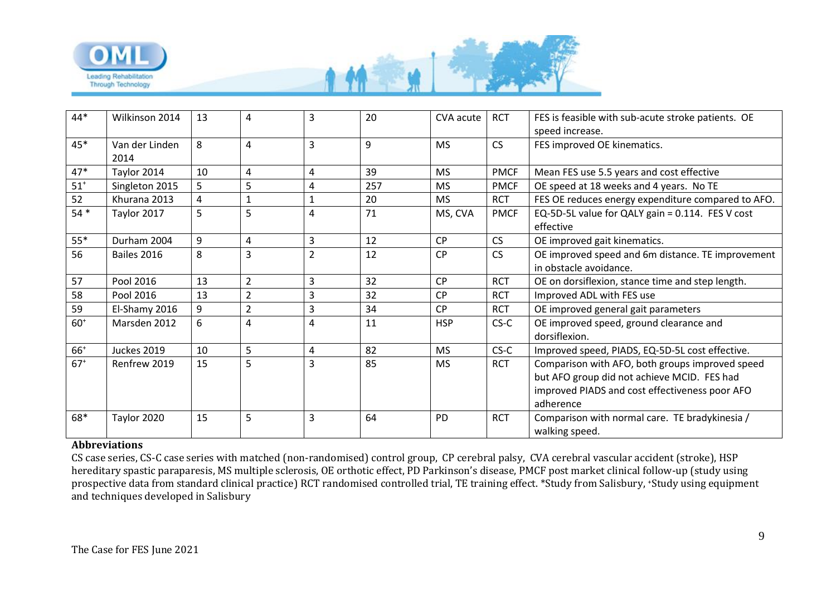

| 44*   | Wilkinson 2014 | 13 | 4              | 3              | 20  | CVA acute  | <b>RCT</b>  | FES is feasible with sub-acute stroke patients. OE |
|-------|----------------|----|----------------|----------------|-----|------------|-------------|----------------------------------------------------|
|       |                |    |                |                |     |            |             | speed increase.                                    |
| 45*   | Van der Linden | 8  | 4              | $\overline{3}$ | 9   | <b>MS</b>  | <b>CS</b>   | FES improved OE kinematics.                        |
|       | 2014           |    |                |                |     |            |             |                                                    |
| $47*$ | Taylor 2014    | 10 | 4              | 4              | 39  | <b>MS</b>  | <b>PMCF</b> | Mean FES use 5.5 years and cost effective          |
| $51+$ | Singleton 2015 | 5  | 5              | 4              | 257 | <b>MS</b>  | <b>PMCF</b> | OE speed at 18 weeks and 4 years. No TE            |
| 52    | Khurana 2013   | 4  | $\mathbf{1}$   | 1              | 20  | <b>MS</b>  | <b>RCT</b>  | FES OE reduces energy expenditure compared to AFO. |
| $54*$ | Taylor 2017    | 5  | 5              | 4              | 71  | MS, CVA    | <b>PMCF</b> | EQ-5D-5L value for QALY gain = 0.114. FES V cost   |
|       |                |    |                |                |     |            |             | effective                                          |
| $55*$ | Durham 2004    | 9  | 4              | 3              | 12  | <b>CP</b>  | <b>CS</b>   | OE improved gait kinematics.                       |
| 56    | Bailes 2016    | 8  | 3              | $\overline{2}$ | 12  | <b>CP</b>  | <b>CS</b>   | OE improved speed and 6m distance. TE improvement  |
|       |                |    |                |                |     |            |             | in obstacle avoidance.                             |
| 57    | Pool 2016      | 13 | $\overline{2}$ | 3              | 32  | <b>CP</b>  | <b>RCT</b>  | OE on dorsiflexion, stance time and step length.   |
| 58    | Pool 2016      | 13 | $\overline{2}$ | 3              | 32  | <b>CP</b>  | <b>RCT</b>  | Improved ADL with FES use                          |
| 59    | El-Shamy 2016  | 9  | $\overline{2}$ | 3              | 34  | <b>CP</b>  | <b>RCT</b>  | OE improved general gait parameters                |
| $60+$ | Marsden 2012   | 6  | $\overline{4}$ | 4              | 11  | <b>HSP</b> | $CS-C$      | OE improved speed, ground clearance and            |
|       |                |    |                |                |     |            |             | dorsiflexion.                                      |
| $66+$ | Juckes 2019    | 10 | 5              | 4              | 82  | <b>MS</b>  | $CS-C$      | Improved speed, PIADS, EQ-5D-5L cost effective.    |
| $67+$ | Renfrew 2019   | 15 | 5              | 3              | 85  | <b>MS</b>  | <b>RCT</b>  | Comparison with AFO, both groups improved speed    |
|       |                |    |                |                |     |            |             | but AFO group did not achieve MCID. FES had        |
|       |                |    |                |                |     |            |             | improved PIADS and cost effectiveness poor AFO     |
|       |                |    |                |                |     |            |             | adherence                                          |
| 68*   | Taylor 2020    | 15 | 5              | 3              | 64  | <b>PD</b>  | <b>RCT</b>  | Comparison with normal care. TE bradykinesia /     |
|       |                |    |                |                |     |            |             | walking speed.                                     |

#### **Abbreviations**

CS case series, CS-C case series with matched (non-randomised) control group, CP cerebral palsy, CVA cerebral vascular accident (stroke), HSP hereditary spastic paraparesis, MS multiple sclerosis, OE orthotic effect, PD Parkinson's disease, PMCF post market clinical follow-up (study using prospective data from standard clinical practice) RCT randomised controlled trial, TE training effect. \*Study from Salisbury, +Study using equipment and techniques developed in Salisbury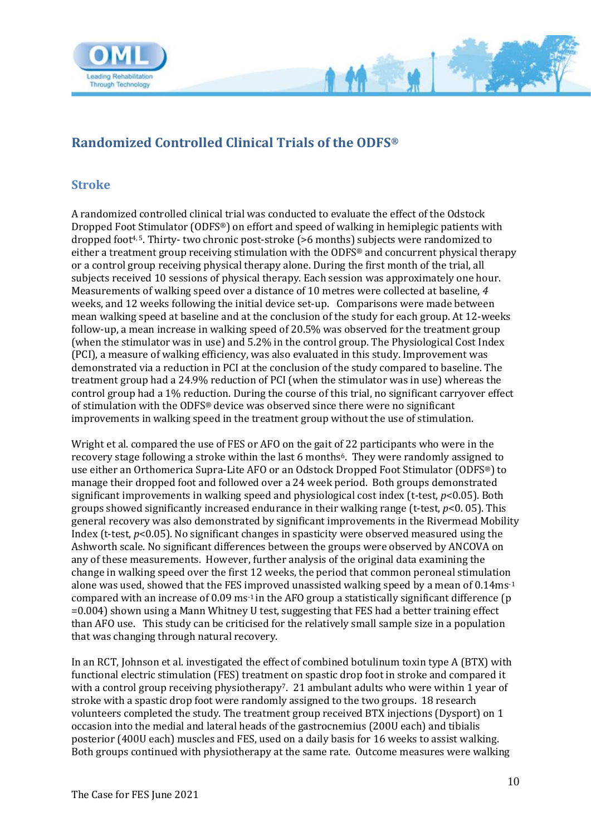

# <span id="page-9-0"></span>**Randomized Controlled Clinical Trials of the ODFS®**

#### <span id="page-9-1"></span>**Stroke**

A randomized controlled clinical trial was conducted to evaluate the effect of the Odstock Dropped Foot Stimulator (ODFS®) on effort and speed of walking in hemiplegic patients with dropped foot4, 5. Thirty- two chronic post-stroke (>6 months) subjects were randomized to either a treatment group receiving stimulation with the ODFS® and concurrent physical therapy or a control group receiving physical therapy alone. During the first month of the trial, all subjects received 10 sessions of physical therapy. Each session was approximately one hour. Measurements of walking speed over a distance of 10 metres were collected at baseline, *4*  weeks, and 12 weeks following the initial device set-up. Comparisons were made between mean walking speed at baseline and at the conclusion of the study for each group. At 12-weeks follow-up, a mean increase in walking speed of 20.5% was observed for the treatment group (when the stimulator was in use) and 5.2% in the control group. The Physiological Cost Index (PCI), a measure of walking efficiency, was also evaluated in this study. Improvement was demonstrated via a reduction in PCI at the conclusion of the study compared to baseline. The treatment group had a 24.9% reduction of PCI (when the stimulator was in use) whereas the control group had a 1% reduction. During the course of this trial, no significant carryover effect of stimulation with the ODFS® device was observed since there were no significant improvements in walking speed in the treatment group without the use of stimulation.

M

Wright et al. compared the use of FES or AFO on the gait of 22 participants who were in the recovery stage following a stroke within the last 6 months<sup>6</sup>. They were randomly assigned to use either an Orthomerica Supra-Lite AFO or an Odstock Dropped Foot Stimulator (ODFS®) to manage their dropped foot and followed over a 24 week period. Both groups demonstrated significant improvements in walking speed and physiological cost index (t-test, *p*<0.05). Both groups showed significantly increased endurance in their walking range (t-test, *p*<0. 05). This general recovery was also demonstrated by significant improvements in the Rivermead Mobility Index (t-test, *p*<0.05). No significant changes in spasticity were observed measured using the Ashworth scale. No significant differences between the groups were observed by ANCOVA on any of these measurements. However, further analysis of the original data examining the change in walking speed over the first 12 weeks, the period that common peroneal stimulation alone was used, showed that the FES improved unassisted walking speed by a mean of 0.14ms-1 compared with an increase of 0.09 ms-1 in the AFO group a statistically significant difference (p =0.004) shown using a Mann Whitney U test, suggesting that FES had a better training effect than AFO use. This study can be criticised for the relatively small sample size in a population that was changing through natural recovery.

In an RCT, Johnson et al. investigated the effect of combined botulinum toxin type A (BTX) with functional electric stimulation (FES) treatment on spastic drop foot in stroke and compared it with a control group receiving physiotherapy? 21 ambulant adults who were within 1 year of stroke with a spastic drop foot were randomly assigned to the two groups. 18 research volunteers completed the study. The treatment group received BTX injections (Dysport) on 1 occasion into the medial and lateral heads of the gastrocnemius (200U each) and tibialis posterior (400U each) muscles and FES, used on a daily basis for 16 weeks to assist walking. Both groups continued with physiotherapy at the same rate. Outcome measures were walking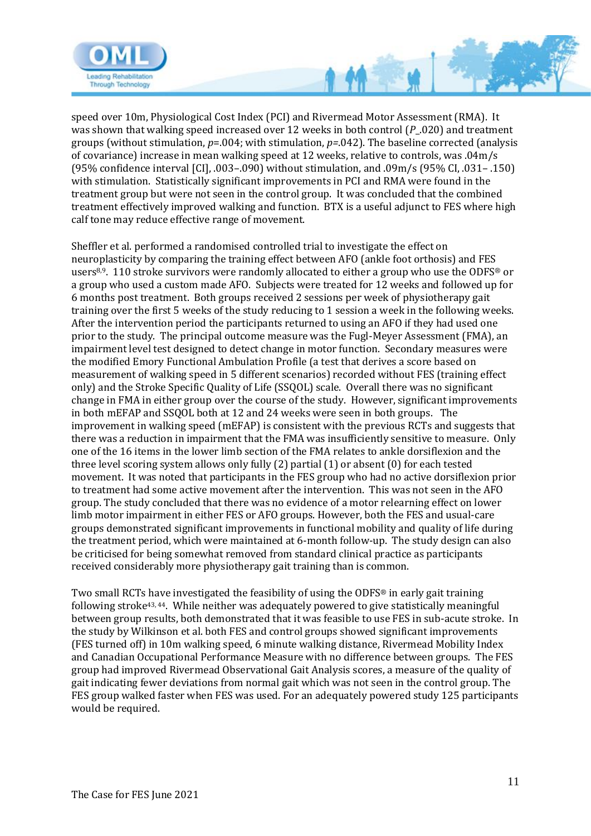

speed over 10m, Physiological Cost Index (PCI) and Rivermead Motor Assessment (RMA). It was shown that walking speed increased over 12 weeks in both control (*P*\_.020) and treatment groups (without stimulation, *p*=.004; with stimulation, *p=*.042). The baseline corrected (analysis of covariance) increase in mean walking speed at 12 weeks, relative to controls, was .04m/s (95% confidence interval [CI], .003–.090) without stimulation, and .09m/s (95% CI, .031– .150) with stimulation. Statistically significant improvements in PCI and RMA were found in the treatment group but were not seen in the control group. It was concluded that the combined treatment effectively improved walking and function. BTX is a useful adjunct to FES where high calf tone may reduce effective range of movement.

 $\sqrt{2}$ 

Sheffler et al. performed a randomised controlled trial to investigate the effect on neuroplasticity by comparing the training effect between AFO (ankle foot orthosis) and FES users<sup>8,9</sup>. 110 stroke survivors were randomly allocated to either a group who use the ODFS<sup>®</sup> or a group who used a custom made AFO. Subjects were treated for 12 weeks and followed up for 6 months post treatment. Both groups received 2 sessions per week of physiotherapy gait training over the first 5 weeks of the study reducing to 1 session a week in the following weeks. After the intervention period the participants returned to using an AFO if they had used one prior to the study. The principal outcome measure was the Fugl-Meyer Assessment (FMA), an impairment level test designed to detect change in motor function. Secondary measures were the modified Emory Functional Ambulation Profile (a test that derives a score based on measurement of walking speed in 5 different scenarios) recorded without FES (training effect only) and the Stroke Specific Quality of Life (SSQOL) scale. Overall there was no significant change in FMA in either group over the course of the study. However, significant improvements in both mEFAP and SSQOL both at 12 and 24 weeks were seen in both groups. The improvement in walking speed (mEFAP) is consistent with the previous RCTs and suggests that there was a reduction in impairment that the FMA was insufficiently sensitive to measure. Only one of the 16 items in the lower limb section of the FMA relates to ankle dorsiflexion and the three level scoring system allows only fully (2) partial (1) or absent (0) for each tested movement. It was noted that participants in the FES group who had no active dorsiflexion prior to treatment had some active movement after the intervention. This was not seen in the AFO group. The study concluded that there was no evidence of a motor relearning effect on lower limb motor impairment in either FES or AFO groups. However, both the FES and usual-care groups demonstrated significant improvements in functional mobility and quality of life during the treatment period, which were maintained at 6-month follow-up. The study design can also be criticised for being somewhat removed from standard clinical practice as participants received considerably more physiotherapy gait training than is common.

Two small RCTs have investigated the feasibility of using the ODFS® in early gait training following stroke43, 44. While neither was adequately powered to give statistically meaningful between group results, both demonstrated that it was feasible to use FES in sub-acute stroke. In the study by Wilkinson et al. both FES and control groups showed significant improvements (FES turned off) in 10m walking speed, 6 minute walking distance, Rivermead Mobility Index and Canadian Occupational Performance Measure with no difference between groups. The FES group had improved Rivermead Observational Gait Analysis scores, a measure of the quality of gait indicating fewer deviations from normal gait which was not seen in the control group. The FES group walked faster when FES was used. For an adequately powered study 125 participants would be required.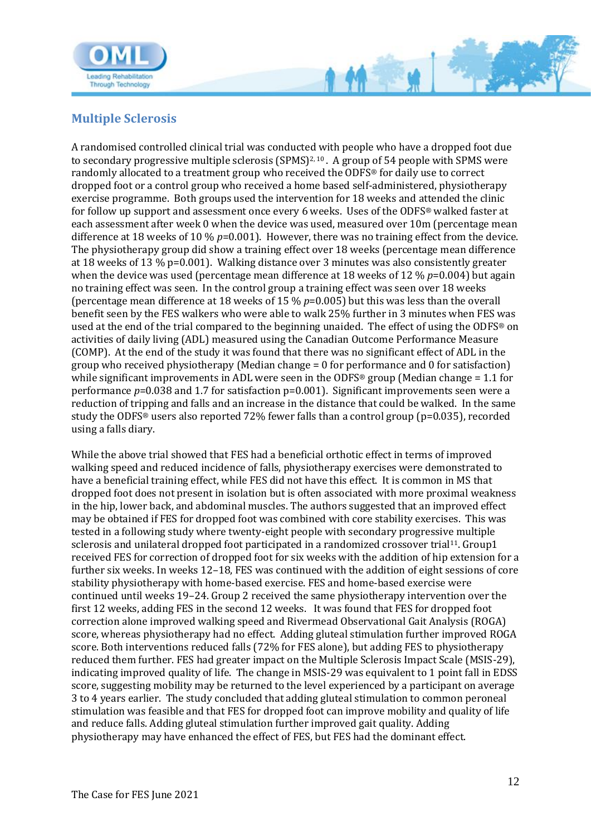

### <span id="page-11-0"></span>**Multiple Sclerosis**

A randomised controlled clinical trial was conducted with people who have a dropped foot due to secondary progressive multiple sclerosis (SPMS)<sup>2, 10</sup>. A group of 54 people with SPMS were randomly allocated to a treatment group who received the ODFS® for daily use to correct dropped foot or a control group who received a home based self-administered, physiotherapy exercise programme. Both groups used the intervention for 18 weeks and attended the clinic for follow up support and assessment once every 6 weeks. Uses of the ODFS® walked faster at each assessment after week 0 when the device was used, measured over 10m (percentage mean difference at 18 weeks of 10 % *p*=0.001). However, there was no training effect from the device. The physiotherapy group did show a training effect over 18 weeks (percentage mean difference at 18 weeks of 13 % p=0.001). Walking distance over 3 minutes was also consistently greater when the device was used (percentage mean difference at 18 weeks of 12 % *p*=0.004) but again no training effect was seen. In the control group a training effect was seen over 18 weeks (percentage mean difference at 18 weeks of 15 % *p*=0.005) but this was less than the overall benefit seen by the FES walkers who were able to walk 25% further in 3 minutes when FES was used at the end of the trial compared to the beginning unaided. The effect of using the ODFS® on activities of daily living (ADL) measured using the Canadian Outcome Performance Measure (COMP). At the end of the study it was found that there was no significant effect of ADL in the group who received physiotherapy (Median change = 0 for performance and 0 for satisfaction) while significant improvements in ADL were seen in the ODFS® group (Median change = 1.1 for performance *p*=0.038 and 1.7 for satisfaction p=0.001). Significant improvements seen were a reduction of tripping and falls and an increase in the distance that could be walked. In the same study the ODFS® users also reported 72% fewer falls than a control group (p=0.035), recorded using a falls diary.

 $M -$ 

While the above trial showed that FES had a beneficial orthotic effect in terms of improved walking speed and reduced incidence of falls, physiotherapy exercises were demonstrated to have a beneficial training effect, while FES did not have this effect. It is common in MS that dropped foot does not present in isolation but is often associated with more proximal weakness in the hip, lower back, and abdominal muscles. The authors suggested that an improved effect may be obtained if FES for dropped foot was combined with core stability exercises. This was tested in a following study where twenty-eight people with secondary progressive multiple sclerosis and unilateral dropped foot participated in a randomized crossover trial<sup>11</sup>. Group1 received FES for correction of dropped foot for six weeks with the addition of hip extension for a further six weeks. In weeks 12–18, FES was continued with the addition of eight sessions of core stability physiotherapy with home-based exercise. FES and home-based exercise were continued until weeks 19–24. Group 2 received the same physiotherapy intervention over the first 12 weeks, adding FES in the second 12 weeks. It was found that FES for dropped foot correction alone improved walking speed and Rivermead Observational Gait Analysis (ROGA) score, whereas physiotherapy had no effect. Adding gluteal stimulation further improved ROGA score. Both interventions reduced falls (72% for FES alone), but adding FES to physiotherapy reduced them further. FES had greater impact on the Multiple Sclerosis Impact Scale (MSIS-29), indicating improved quality of life. The change in MSIS-29 was equivalent to 1 point fall in EDSS score, suggesting mobility may be returned to the level experienced by a participant on average 3 to 4 years earlier. The study concluded that adding gluteal stimulation to common peroneal stimulation was feasible and that FES for dropped foot can improve mobility and quality of life and reduce falls. Adding gluteal stimulation further improved gait quality. Adding physiotherapy may have enhanced the effect of FES, but FES had the dominant effect.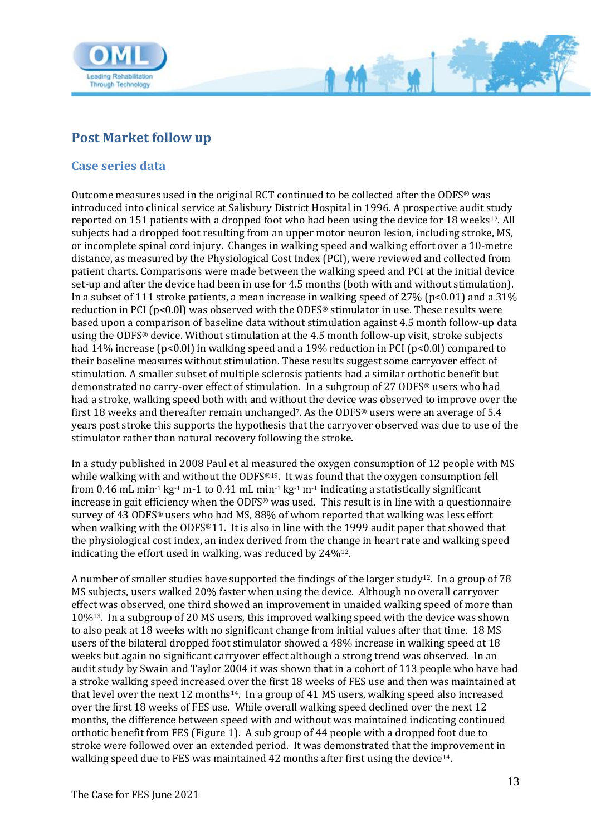

### <span id="page-12-0"></span>**Post Market follow up**

#### <span id="page-12-1"></span>**Case series data**

Outcome measures used in the original RCT continued to be collected after the ODFS® was introduced into clinical service at Salisbury District Hospital in 1996. A prospective audit study reported on 151 patients with a dropped foot who had been using the device for 18 weeks<sup>12</sup>. All subjects had a dropped foot resulting from an upper motor neuron lesion, including stroke, MS, or incomplete spinal cord injury. Changes in walking speed and walking effort over a 10-metre distance, as measured by the Physiological Cost Index (PCI), were reviewed and collected from patient charts. Comparisons were made between the walking speed and PCI at the initial device set-up and after the device had been in use for 4.5 months (both with and without stimulation). In a subset of 111 stroke patients, a mean increase in walking speed of 27% ( $p<0.01$ ) and a 31% reduction in PCI ( $p<0.01$ ) was observed with the ODFS<sup>®</sup> stimulator in use. These results were based upon a comparison of baseline data without stimulation against 4.5 month follow-up data using the ODFS® device. Without stimulation at the 4.5 month follow-up visit, stroke subjects had 14% increase (p<0.01) in walking speed and a 19% reduction in PCI (p<0.01) compared to their baseline measures without stimulation. These results suggest some carryover effect of stimulation. A smaller subset of multiple sclerosis patients had a similar orthotic benefit but demonstrated no carry-over effect of stimulation. In a subgroup of 27 ODFS® users who had had a stroke, walking speed both with and without the device was observed to improve over the first 18 weeks and thereafter remain unchanged<sup>7</sup>. As the ODFS<sup>®</sup> users were an average of 5.4 years post stroke this supports the hypothesis that the carryover observed was due to use of the stimulator rather than natural recovery following the stroke.

M

In a study published in 2008 Paul et al measured the oxygen consumption of 12 people with MS while walking with and without the ODFS<sup>®19</sup>. It was found that the oxygen consumption fell from 0.46 mL min<sup>-1</sup> kg<sup>-1</sup> m-1 to 0.41 mL min<sup>-1</sup> kg<sup>-1</sup> m<sup>-1</sup> indicating a statistically significant increase in gait efficiency when the  $ODFS^{\circledast}$  was used. This result is in line with a questionnaire survey of 43 ODFS® users who had MS, 88% of whom reported that walking was less effort when walking with the ODFS®11. It is also in line with the 1999 audit paper that showed that the physiological cost index, an index derived from the change in heart rate and walking speed indicating the effort used in walking, was reduced by 24%12.

A number of smaller studies have supported the findings of the larger study12. In a group of 78 MS subjects, users walked 20% faster when using the device. Although no overall carryover effect was observed, one third showed an improvement in unaided walking speed of more than 10%13. In a subgroup of 20 MS users, this improved walking speed with the device was shown to also peak at 18 weeks with no significant change from initial values after that time. 18 MS users of the bilateral dropped foot stimulator showed a 48% increase in walking speed at 18 weeks but again no significant carryover effect although a strong trend was observed. In an audit study by Swain and Taylor 2004 it was shown that in a cohort of 113 people who have had a stroke walking speed increased over the first 18 weeks of FES use and then was maintained at that level over the next 12 months14. In a group of 41 MS users, walking speed also increased over the first 18 weeks of FES use. While overall walking speed declined over the next 12 months, the difference between speed with and without was maintained indicating continued orthotic benefit from FES (Figure 1). A sub group of 44 people with a dropped foot due to stroke were followed over an extended period. It was demonstrated that the improvement in walking speed due to FES was maintained 42 months after first using the device<sup>14</sup>.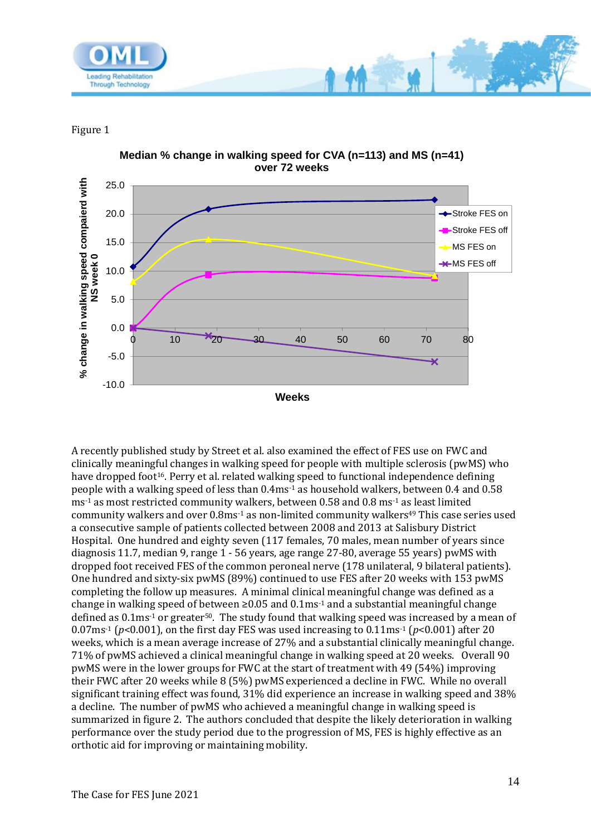

Figure 1



A recently published study by Street et al. also examined the effect of FES use on FWC and clinically meaningful changes in walking speed for people with multiple sclerosis (pwMS) who have dropped foot<sup>16</sup>. Perry et al. related walking speed to functional independence defining people with a walking speed of less than 0.4ms-1 as household walkers, between 0.4 and 0.58 ms-1 as most restricted community walkers, between 0.58 and 0.8 ms-1 as least limited community walkers and over 0.8ms<sup>-1</sup> as non-limited community walkers<sup>49</sup> This case series used a consecutive sample of patients collected between 2008 and 2013 at Salisbury District Hospital. One hundred and eighty seven (117 females, 70 males, mean number of years since diagnosis 11.7, median 9, range 1 - 56 years, age range 27-80, average 55 years) pwMS with dropped foot received FES of the common peroneal nerve (178 unilateral, 9 bilateral patients). One hundred and sixty-six pwMS (89%) continued to use FES after 20 weeks with 153 pwMS completing the follow up measures. A minimal clinical meaningful change was defined as a change in walking speed of between  $\geq 0.05$  and 0.1ms<sup>-1</sup> and a substantial meaningful change defined as  $0.1$ ms<sup>-1</sup> or greater<sup>50</sup>. The study found that walking speed was increased by a mean of 0.07ms<sup>-1</sup> ( $p$ <0.001), on the first day FES was used increasing to 0.11ms<sup>-1</sup> ( $p$ <0.001) after 20 weeks, which is a mean average increase of 27% and a substantial clinically meaningful change. 71% of pwMS achieved a clinical meaningful change in walking speed at 20 weeks. Overall 90 pwMS were in the lower groups for FWC at the start of treatment with 49 (54%) improving their FWC after 20 weeks while 8 (5%) pwMS experienced a decline in FWC. While no overall significant training effect was found, 31% did experience an increase in walking speed and 38% a decline. The number of pwMS who achieved a meaningful change in walking speed is summarized in figure 2. The authors concluded that despite the likely deterioration in walking performance over the study period due to the progression of MS, FES is highly effective as an orthotic aid for improving or maintaining mobility.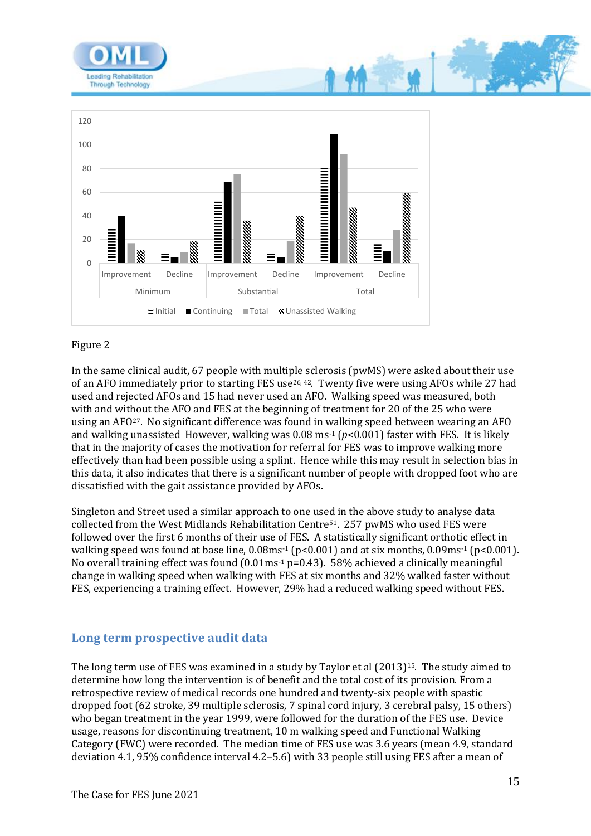



#### Figure 2

In the same clinical audit, 67 people with multiple sclerosis (pwMS) were asked about their use of an AFO immediately prior to starting FES use<sup>26, 42</sup>. Twenty five were using AFOs while 27 had used and rejected AFOs and 15 had never used an AFO. Walking speed was measured, both with and without the AFO and FES at the beginning of treatment for 20 of the 25 who were using an AFO27. No significant difference was found in walking speed between wearing an AFO and walking unassisted However, walking was 0.08 ms-1 (*p*<0.001) faster with FES. It is likely that in the majority of cases the motivation for referral for FES was to improve walking more effectively than had been possible using a splint. Hence while this may result in selection bias in this data, it also indicates that there is a significant number of people with dropped foot who are dissatisfied with the gait assistance provided by AFOs.

Singleton and Street used a similar approach to one used in the above study to analyse data collected from the West Midlands Rehabilitation Centre51. 257 pwMS who used FES were followed over the first 6 months of their use of FES. A statistically significant orthotic effect in walking speed was found at base line,  $0.08$ ms<sup>-1</sup> (p<0.001) and at six months,  $0.09$ ms<sup>-1</sup> (p<0.001). No overall training effect was found  $(0.01 \text{ms}^{-1} \text{p} = 0.43)$ . 58% achieved a clinically meaningful change in walking speed when walking with FES at six months and 32% walked faster without FES, experiencing a training effect. However, 29% had a reduced walking speed without FES.

#### <span id="page-14-0"></span>**Long term prospective audit data**

The long term use of FES was examined in a study by Taylor et al (2013)<sup>15</sup>. The study aimed to determine how long the intervention is of benefit and the total cost of its provision. From a retrospective review of medical records one hundred and twenty-six people with spastic dropped foot (62 stroke, 39 multiple sclerosis, 7 spinal cord injury, 3 cerebral palsy, 15 others) who began treatment in the year 1999, were followed for the duration of the FES use. Device usage, reasons for discontinuing treatment, 10 m walking speed and Functional Walking Category (FWC) were recorded. The median time of FES use was 3.6 years (mean 4.9, standard deviation 4.1, 95% confidence interval 4.2–5.6) with 33 people still using FES after a mean of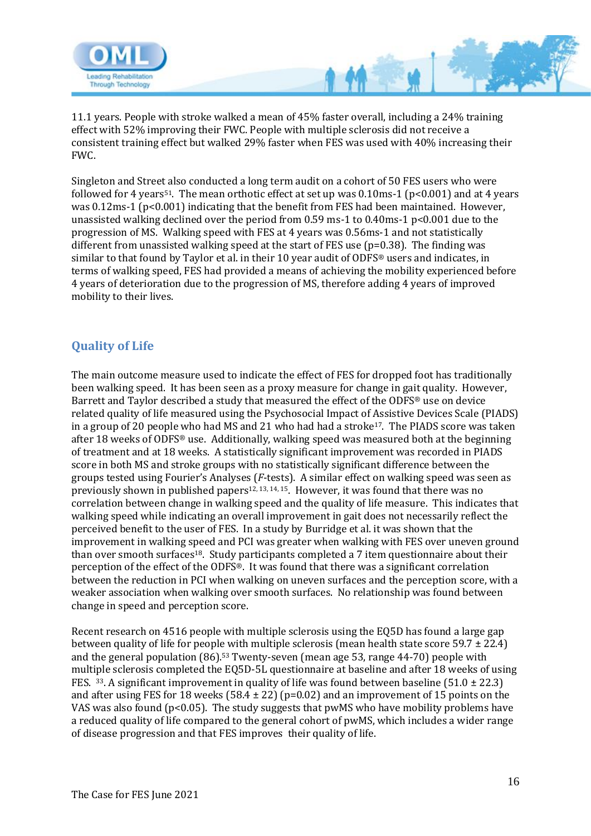

11.1 years. People with stroke walked a mean of 45% faster overall, including a 24% training effect with 52% improving their FWC. People with multiple sclerosis did not receive a consistent training effect but walked 29% faster when FES was used with 40% increasing their FWC.

Singleton and Street also conducted a long term audit on a cohort of 50 FES users who were followed for 4 years<sup>51</sup>. The mean orthotic effect at set up was  $0.10$ ms-1 (p<0.001) and at 4 years was 0.12ms-1 (p<0.001) indicating that the benefit from FES had been maintained. However, unassisted walking declined over the period from 0.59 ms-1 to 0.40ms-1 p<0.001 due to the progression of MS. Walking speed with FES at 4 years was 0.56ms-1 and not statistically different from unassisted walking speed at the start of FES use (p=0.38). The finding was similar to that found by Taylor et al. in their 10 year audit of ODFS® users and indicates, in terms of walking speed, FES had provided a means of achieving the mobility experienced before 4 years of deterioration due to the progression of MS, therefore adding 4 years of improved mobility to their lives.

### <span id="page-15-0"></span>**Quality of Life**

The main outcome measure used to indicate the effect of FES for dropped foot has traditionally been walking speed. It has been seen as a proxy measure for change in gait quality. However, Barrett and Taylor described a study that measured the effect of the ODFS® use on device related quality of life measured using the Psychosocial Impact of Assistive Devices Scale (PIADS) in a group of 20 people who had MS and 21 who had had a stroke17. The PIADS score was taken after 18 weeks of ODFS® use. Additionally, walking speed was measured both at the beginning of treatment and at 18 weeks. A statistically significant improvement was recorded in PIADS score in both MS and stroke groups with no statistically significant difference between the groups tested using Fourier's Analyses (*F*-tests). A similar effect on walking speed was seen as previously shown in published papers<sup>12, 13, 14, 15</sup>. However, it was found that there was no correlation between change in walking speed and the quality of life measure. This indicates that walking speed while indicating an overall improvement in gait does not necessarily reflect the perceived benefit to the user of FES. In a study by Burridge et al. it was shown that the improvement in walking speed and PCI was greater when walking with FES over uneven ground than over smooth surfaces<sup>18</sup>. Study participants completed a 7 item questionnaire about their perception of the effect of the ODFS®. It was found that there was a significant correlation between the reduction in PCI when walking on uneven surfaces and the perception score, with a weaker association when walking over smooth surfaces. No relationship was found between change in speed and perception score.

Recent research on 4516 people with multiple sclerosis using the EQ5D has found a large gap between quality of life for people with multiple sclerosis (mean health state score 59.7 ± 22.4) and the general population (86).<sup>53</sup> Twenty-seven (mean age 53, range 44-70) people with multiple sclerosis completed the EQ5D-5L questionnaire at baseline and after 18 weeks of using FES. 33. A significant improvement in quality of life was found between baseline (51.0  $\pm$  22.3) and after using FES for 18 weeks (58.4  $\pm$  22) (p=0.02) and an improvement of 15 points on the VAS was also found ( $p<0.05$ ). The study suggests that pwMS who have mobility problems have a reduced quality of life compared to the general cohort of pwMS, which includes a wider range of disease progression and that FES improves their quality of life.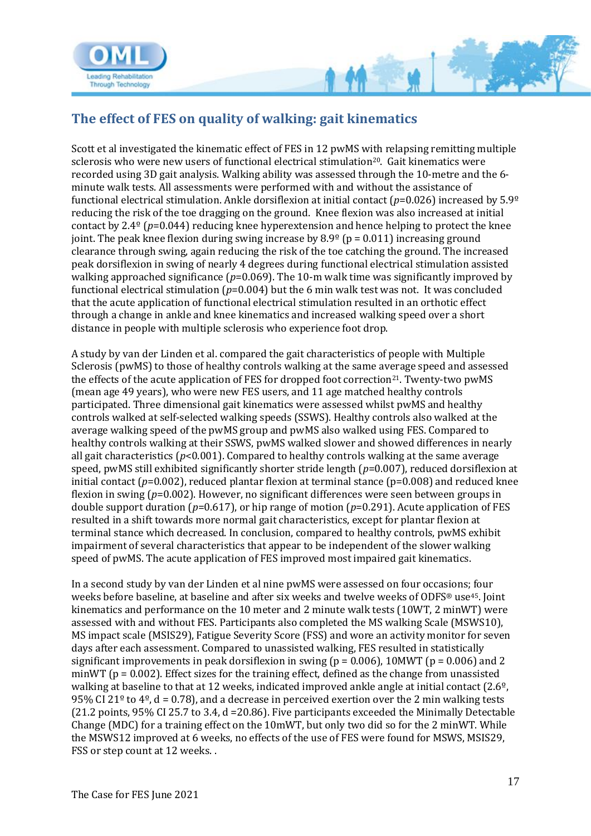

<span id="page-16-0"></span>

Scott et al investigated the kinematic effect of FES in 12 pwMS with relapsing remitting multiple sclerosis who were new users of functional electrical stimulation<sup>20</sup>. Gait kinematics were recorded using 3D gait analysis. Walking ability was assessed through the 10-metre and the 6 minute walk tests. All assessments were performed with and without the assistance of functional electrical stimulation. Ankle dorsiflexion at initial contact (*p*=0.026) increased by 5.9º reducing the risk of the toe dragging on the ground. Knee flexion was also increased at initial contact by 2.4º (*p*=0.044) reducing knee hyperextension and hence helping to protect the knee joint. The peak knee flexion during swing increase by  $8.9^{\circ}$  (p = 0.011) increasing ground clearance through swing, again reducing the risk of the toe catching the ground. The increased peak dorsiflexion in swing of nearly 4 degrees during functional electrical stimulation assisted walking approached significance ( $p=0.069$ ). The 10-m walk time was significantly improved by functional electrical stimulation (*p*=0.004) but the 6 min walk test was not. It was concluded that the acute application of functional electrical stimulation resulted in an orthotic effect through a change in ankle and knee kinematics and increased walking speed over a short distance in people with multiple sclerosis who experience foot drop.

**M** 

A study by van der Linden et al. compared the gait characteristics of people with Multiple Sclerosis (pwMS) to those of healthy controls walking at the same average speed and assessed the effects of the acute application of FES for dropped foot correction<sup>21</sup>. Twenty-two pwMS (mean age 49 years), who were new FES users, and 11 age matched healthy controls participated. Three dimensional gait kinematics were assessed whilst pwMS and healthy controls walked at self-selected walking speeds (SSWS). Healthy controls also walked at the average walking speed of the pwMS group and pwMS also walked using FES. Compared to healthy controls walking at their SSWS, pwMS walked slower and showed differences in nearly all gait characteristics (*p*<0.001). Compared to healthy controls walking at the same average speed, pwMS still exhibited significantly shorter stride length (*p*=0.007), reduced dorsiflexion at initial contact (*p*=0.002), reduced plantar flexion at terminal stance (*p*=0.008) and reduced knee flexion in swing (*p*=0.002). However, no significant differences were seen between groups in double support duration (*p*=0.617), or hip range of motion (*p*=0.291). Acute application of FES resulted in a shift towards more normal gait characteristics, except for plantar flexion at terminal stance which decreased. In conclusion, compared to healthy controls, pwMS exhibit impairment of several characteristics that appear to be independent of the slower walking speed of pwMS. The acute application of FES improved most impaired gait kinematics.

In a second study by van der Linden et al nine pwMS were assessed on four occasions; four weeks before baseline, at baseline and after six weeks and twelve weeks of ODFS® use45. Joint kinematics and performance on the 10 meter and 2 minute walk tests (10WT, 2 minWT) were assessed with and without FES. Participants also completed the MS walking Scale (MSWS10), MS impact scale (MSIS29), Fatigue Severity Score (FSS) and wore an activity monitor for seven days after each assessment. Compared to unassisted walking, FES resulted in statistically significant improvements in peak dorsiflexion in swing ( $p = 0.006$ ), 10MWT ( $p = 0.006$ ) and 2 minWT ( $p = 0.002$ ). Effect sizes for the training effect, defined as the change from unassisted walking at baseline to that at 12 weeks, indicated improved ankle angle at initial contact (2.6º, 95% CI 21<sup>o</sup> to 4<sup>o</sup>, d = 0.78), and a decrease in perceived exertion over the 2 min walking tests (21.2 points, 95% CI 25.7 to 3.4, d =20.86). Five participants exceeded the Minimally Detectable Change (MDC) for a training effect on the 10mWT, but only two did so for the 2 minWT. While the MSWS12 improved at 6 weeks, no effects of the use of FES were found for MSWS, MSIS29, FSS or step count at 12 weeks. .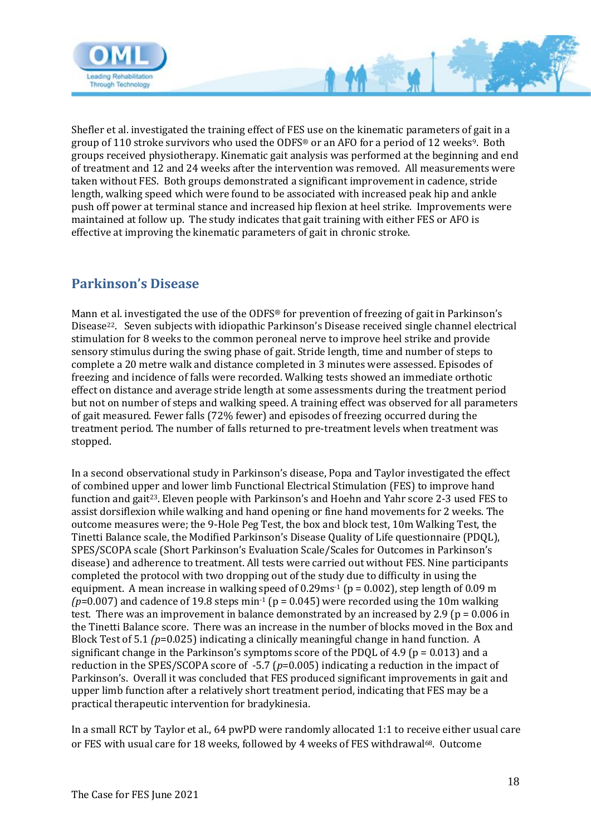

Shefler et al. investigated the training effect of FES use on the kinematic parameters of gait in a group of 110 stroke survivors who used the ODFS® or an AFO for a period of 12 weeks9. Both groups received physiotherapy. Kinematic gait analysis was performed at the beginning and end of treatment and 12 and 24 weeks after the intervention was removed. All measurements were taken without FES. Both groups demonstrated a significant improvement in cadence, stride length, walking speed which were found to be associated with increased peak hip and ankle push off power at terminal stance and increased hip flexion at heel strike. Improvements were maintained at follow up. The study indicates that gait training with either FES or AFO is effective at improving the kinematic parameters of gait in chronic stroke.

 $M^2$ 

## <span id="page-17-0"></span>**Parkinson's Disease**

Mann et al. investigated the use of the ODFS® for prevention of freezing of gait in Parkinson's Disease22. Seven subjects with idiopathic Parkinson's Disease received single channel electrical stimulation for 8 weeks to the common peroneal nerve to improve heel strike and provide sensory stimulus during the swing phase of gait. Stride length, time and number of steps to complete a 20 metre walk and distance completed in 3 minutes were assessed. Episodes of freezing and incidence of falls were recorded. Walking tests showed an immediate orthotic effect on distance and average stride length at some assessments during the treatment period but not on number of steps and walking speed. A training effect was observed for all parameters of gait measured. Fewer falls (72% fewer) and episodes of freezing occurred during the treatment period. The number of falls returned to pre-treatment levels when treatment was stopped.

In a second observational study in Parkinson's disease, Popa and Taylor investigated the effect of combined upper and lower limb Functional Electrical Stimulation (FES) to improve hand function and gait23. Eleven people with Parkinson's and Hoehn and Yahr score 2-3 used FES to assist dorsiflexion while walking and hand opening or fine hand movements for 2 weeks. The outcome measures were; the 9-Hole Peg Test, the box and block test, 10m Walking Test, the Tinetti Balance scale, the Modified Parkinson's Disease Quality of Life questionnaire (PDQL), SPES/SCOPA scale (Short Parkinson's Evaluation Scale/Scales for Outcomes in Parkinson's disease) and adherence to treatment. All tests were carried out without FES. Nine participants completed the protocol with two dropping out of the study due to difficulty in using the equipment. A mean increase in walking speed of  $0.29$ ms<sup>-1</sup> (p = 0.002), step length of 0.09 m  $(p=0.007)$  and cadence of 19.8 steps min<sup>-1</sup> (p = 0.045) were recorded using the 10m walking test. There was an improvement in balance demonstrated by an increased by 2.9 ( $p = 0.006$  in the Tinetti Balance score. There was an increase in the number of blocks moved in the Box and Block Test of 5.1 *(p*=0.025) indicating a clinically meaningful change in hand function. A significant change in the Parkinson's symptoms score of the PDOL of  $4.9$  ( $p = 0.013$ ) and a reduction in the SPES/SCOPA score of -5.7 (*p*=0.005) indicating a reduction in the impact of Parkinson's. Overall it was concluded that FES produced significant improvements in gait and upper limb function after a relatively short treatment period, indicating that FES may be a practical therapeutic intervention for bradykinesia.

In a small RCT by Taylor et al., 64 pwPD were randomly allocated 1:1 to receive either usual care or FES with usual care for 18 weeks, followed by 4 weeks of FES withdrawal68. Outcome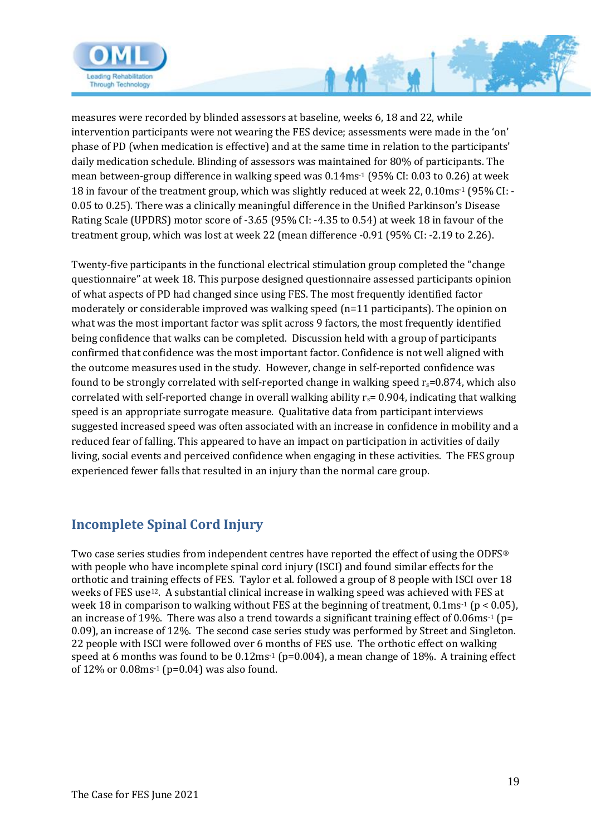

measures were recorded by blinded assessors at baseline, weeks 6, 18 and 22, while intervention participants were not wearing the FES device; assessments were made in the 'on' phase of PD (when medication is effective) and at the same time in relation to the participants' daily medication schedule. Blinding of assessors was maintained for 80% of participants. The mean between-group difference in walking speed was 0.14ms-1 (95% CI: 0.03 to 0.26) at week 18 in favour of the treatment group, which was slightly reduced at week 22, 0.10ms-1 (95% CI: - 0.05 to 0.25). There was a clinically meaningful difference in the Unified Parkinson's Disease Rating Scale (UPDRS) motor score of -3.65 (95% CI: -4.35 to 0.54) at week 18 in favour of the treatment group, which was lost at week 22 (mean difference -0.91 (95% CI: -2.19 to 2.26).

Twenty-five participants in the functional electrical stimulation group completed the "change questionnaire" at week 18. This purpose designed questionnaire assessed participants opinion of what aspects of PD had changed since using FES. The most frequently identified factor moderately or considerable improved was walking speed (n=11 participants). The opinion on what was the most important factor was split across 9 factors, the most frequently identified being confidence that walks can be completed. Discussion held with a group of participants confirmed that confidence was the most important factor. Confidence is not well aligned with the outcome measures used in the study. However, change in self-reported confidence was found to be strongly correlated with self-reported change in walking speed  $r_s$ =0.874, which also correlated with self-reported change in overall walking ability  $r_s$  = 0.904, indicating that walking speed is an appropriate surrogate measure. Qualitative data from participant interviews suggested increased speed was often associated with an increase in confidence in mobility and a reduced fear of falling. This appeared to have an impact on participation in activities of daily living, social events and perceived confidence when engaging in these activities. The FES group experienced fewer falls that resulted in an injury than the normal care group.

# <span id="page-18-0"></span>**Incomplete Spinal Cord Injury**

Two case series studies from independent centres have reported the effect of using the ODFS® with people who have incomplete spinal cord injury (ISCI) and found similar effects for the orthotic and training effects of FES. Taylor et al. followed a group of 8 people with ISCI over 18 weeks of FES use12. A substantial clinical increase in walking speed was achieved with FES at week 18 in comparison to walking without FES at the beginning of treatment, 0.1ms<sup>-1</sup> (p < 0.05), an increase of 19%. There was also a trend towards a significant training effect of  $0.06$ ms<sup>-1</sup> (p= 0.09), an increase of 12%. The second case series study was performed by Street and Singleton. 22 people with ISCI were followed over 6 months of FES use. The orthotic effect on walking speed at 6 months was found to be  $0.12 \text{ms}^{-1}$  (p=0.004), a mean change of 18%. A training effect of  $12\%$  or  $0.08$ ms<sup>-1</sup> (p=0.04) was also found.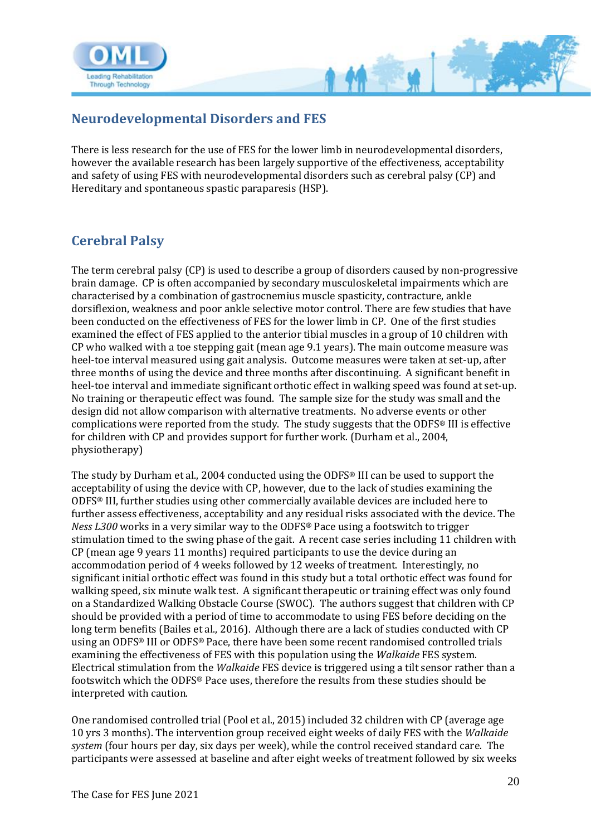

### <span id="page-19-0"></span>**Neurodevelopmental Disorders and FES**

There is less research for the use of FES for the lower limb in neurodevelopmental disorders, however the available research has been largely supportive of the effectiveness, acceptability and safety of using FES with neurodevelopmental disorders such as cerebral palsy (CP) and Hereditary and spontaneous spastic paraparesis (HSP).

## <span id="page-19-1"></span>**Cerebral Palsy**

The term cerebral palsy (CP) is used to describe a group of disorders caused by non-progressive brain damage. CP is often accompanied by secondary musculoskeletal impairments which are characterised by a combination of gastrocnemius muscle spasticity, contracture, ankle dorsiflexion, weakness and poor ankle selective motor control. There are few studies that have been conducted on the effectiveness of FES for the lower limb in CP. One of the first studies examined the effect of FES applied to the anterior tibial muscles in a group of 10 children with CP who walked with a toe stepping gait (mean age 9.1 years). The main outcome measure was heel-toe interval measured using gait analysis. Outcome measures were taken at set-up, after three months of using the device and three months after discontinuing. A significant benefit in heel-toe interval and immediate significant orthotic effect in walking speed was found at set-up. No training or therapeutic effect was found. The sample size for the study was small and the design did not allow comparison with alternative treatments. No adverse events or other complications were reported from the study. The study suggests that the ODFS® III is effective for children with CP and provides support for further work. (Durham et al., 2004, physiotherapy)

The study by Durham et al., 2004 conducted using the ODFS® III can be used to support the acceptability of using the device with CP, however, due to the lack of studies examining the ODFS® III, further studies using other commercially available devices are included here to further assess effectiveness, acceptability and any residual risks associated with the device. The *Ness L300* works in a very similar way to the ODFS® Pace using a footswitch to trigger stimulation timed to the swing phase of the gait. A recent case series including 11 children with CP (mean age 9 years 11 months) required participants to use the device during an accommodation period of 4 weeks followed by 12 weeks of treatment. Interestingly, no significant initial orthotic effect was found in this study but a total orthotic effect was found for walking speed, six minute walk test. A significant therapeutic or training effect was only found on a Standardized Walking Obstacle Course (SWOC). The authors suggest that children with CP should be provided with a period of time to accommodate to using FES before deciding on the long term benefits (Bailes et al., 2016). Although there are a lack of studies conducted with CP using an ODFS® III or ODFS® Pace, there have been some recent randomised controlled trials examining the effectiveness of FES with this population using the *Walkaide* FES system. Electrical stimulation from the *Walkaide* FES device is triggered using a tilt sensor rather than a footswitch which the ODFS® Pace uses, therefore the results from these studies should be interpreted with caution.

One randomised controlled trial (Pool et al., 2015) included 32 children with CP (average age 10 yrs 3 months). The intervention group received eight weeks of daily FES with the *Walkaide system* (four hours per day, six days per week), while the control received standard care. The participants were assessed at baseline and after eight weeks of treatment followed by six weeks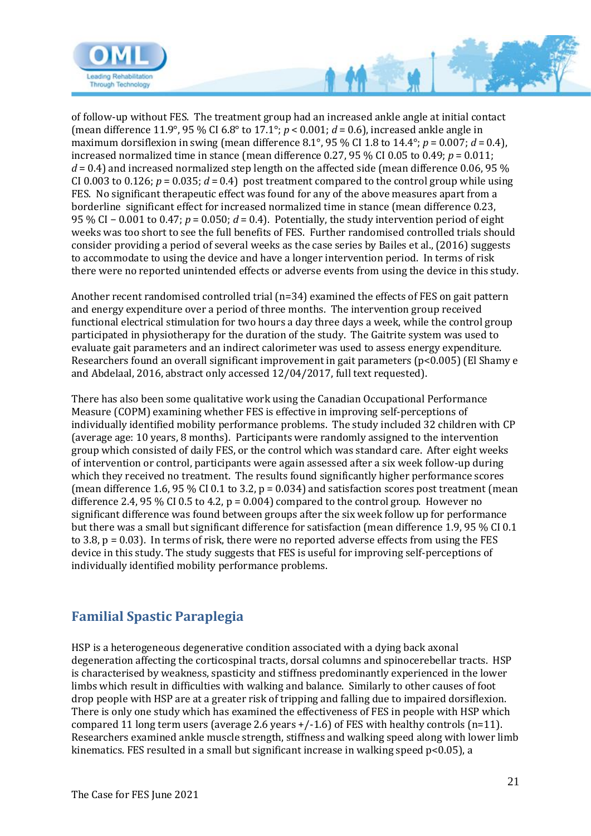

of follow-up without FES. The treatment group had an increased ankle angle at initial contact (mean difference 11.9°, 95 % CI 6.8° to 17.1°; *p* < 0.001; *d* = 0.6), increased ankle angle in maximum dorsiflexion in swing (mean difference 8.1°, 95 % CI 1.8 to 14.4°;  $p = 0.007$ ;  $d = 0.4$ ), increased normalized time in stance (mean difference 0.27, 95 % CI 0.05 to 0.49;  $p = 0.011$ ;  $d = 0.4$ ) and increased normalized step length on the affected side (mean difference 0.06, 95 % CI 0.003 to 0.126;  $p = 0.035$ ;  $d = 0.4$ ) post treatment compared to the control group while using FES. No significant therapeutic effect was found for any of the above measures apart from a borderline significant effect for increased normalized time in stance (mean difference 0.23, 95 % CI − 0.001 to 0.47; *p* = 0.050; *d* = 0.4). Potentially, the study intervention period of eight weeks was too short to see the full benefits of FES. Further randomised controlled trials should consider providing a period of several weeks as the case series by Bailes et al., (2016) suggests to accommodate to using the device and have a longer intervention period. In terms of risk there were no reported unintended effects or adverse events from using the device in this study.

 $M^3$ 

Another recent randomised controlled trial (n=34) examined the effects of FES on gait pattern and energy expenditure over a period of three months. The intervention group received functional electrical stimulation for two hours a day three days a week, while the control group participated in physiotherapy for the duration of the study. The Gaitrite system was used to evaluate gait parameters and an indirect calorimeter was used to assess energy expenditure. Researchers found an overall significant improvement in gait parameters (p<0.005) (El Shamy e and Abdelaal, 2016, abstract only accessed 12/04/2017, full text requested).

There has also been some qualitative work using the Canadian Occupational Performance Measure (COPM) examining whether FES is effective in improving self-perceptions of individually identified mobility performance problems. The study included 32 children with CP (average age: 10 years, 8 months). Participants were randomly assigned to the intervention group which consisted of daily FES, or the control which was standard care. After eight weeks of intervention or control, participants were again assessed after a six week follow-up during which they received no treatment. The results found significantly higher performance scores (mean difference 1.6, 95 % CI 0.1 to 3.2,  $p = 0.034$ ) and satisfaction scores post treatment (mean difference 2.4, 95 % CI 0.5 to 4.2,  $p = 0.004$  compared to the control group. However no significant difference was found between groups after the six week follow up for performance but there was a small but significant difference for satisfaction (mean difference 1.9, 95 % CI 0.1 to 3.8, p = 0.03). In terms of risk, there were no reported adverse effects from using the FES device in this study. The study suggests that FES is useful for improving self-perceptions of individually identified mobility performance problems.

## <span id="page-20-0"></span>**Familial Spastic Paraplegia**

HSP is a heterogeneous degenerative condition associated with a dying back axonal degeneration affecting the corticospinal tracts, dorsal columns and spinocerebellar tracts. HSP is characterised by weakness, spasticity and stiffness predominantly experienced in the lower limbs which result in difficulties with walking and balance. Similarly to other causes of foot drop people with HSP are at a greater risk of tripping and falling due to impaired dorsiflexion. There is only one study which has examined the effectiveness of FES in people with HSP which compared 11 long term users (average 2.6 years  $+/-1.6$ ) of FES with healthy controls (n=11). Researchers examined ankle muscle strength, stiffness and walking speed along with lower limb kinematics. FES resulted in a small but significant increase in walking speed p<0.05), a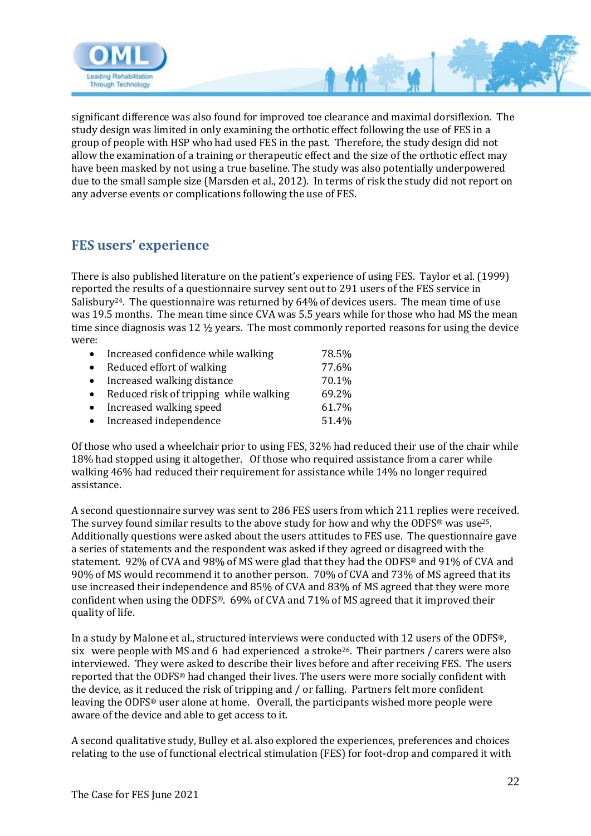

significant difference was also found for improved toe clearance and maximal dorsiflexion. The study design was limited in only examining the orthotic effect following the use of FES in a group of people with HSP who had used FES in the past. Therefore, the study design did not allow the examination of a training or therapeutic effect and the size of the orthotic effect may have been masked by not using a true baseline. The study was also potentially underpowered due to the small sample size (Marsden et al., 2012). In terms of risk the study did not report on any adverse events or complications following the use of FES.

# <span id="page-21-0"></span>**FES users' experience**

There is also published literature on the patient's experience of using FES. Taylor et al. (1999) reported the results of a questionnaire survey sent out to 291 users of the FES service in Salisbury<sup>24</sup>. The questionnaire was returned by 64% of devices users. The mean time of use was 19.5 months. The mean time since CVA was 5.5 years while for those who had MS the mean time since diagnosis was 12 ½ years. The most commonly reported reasons for using the device were:

| • Increased confidence while walking     | 78.5% |
|------------------------------------------|-------|
| • Reduced effort of walking              | 77.6% |
| • Increased walking distance             | 70.1% |
| • Reduced risk of tripping while walking | 69.2% |
| • Increased walking speed                | 61.7% |
| • Increased independence                 | 51.4% |

Of those who used a wheelchair prior to using FES, 32% had reduced their use of the chair while 18% had stopped using it altogether. Of those who required assistance from a carer while walking 46% had reduced their requirement for assistance while 14% no longer required assistance.

A second questionnaire survey was sent to 286 FES users from which 211 replies were received. The survey found similar results to the above study for how and why the ODFS® was use<sup>25</sup>. Additionally questions were asked about the users attitudes to FES use. The questionnaire gave a series of statements and the respondent was asked if they agreed or disagreed with the statement. 92% of CVA and 98% of MS were glad that they had the ODFS® and 91% of CVA and 90% of MS would recommend it to another person. 70% of CVA and 73% of MS agreed that its use increased their independence and 85% of CVA and 83% of MS agreed that they were more confident when using the ODFS®. 69% of CVA and 71% of MS agreed that it improved their quality of life.

In a study by Malone et al., structured interviews were conducted with 12 users of the ODFS®, six were people with MS and 6 had experienced a stroke26. Their partners / carers were also interviewed. They were asked to describe their lives before and after receiving FES. The users reported that the ODFS® had changed their lives. The users were more socially confident with the device, as it reduced the risk of tripping and / or falling. Partners felt more confident leaving the ODFS® user alone at home. Overall, the participants wished more people were aware of the device and able to get access to it.

A second qualitative study, Bulley et al. also explored the experiences, preferences and choices relating to the use of functional electrical stimulation (FES) for foot-drop and compared it with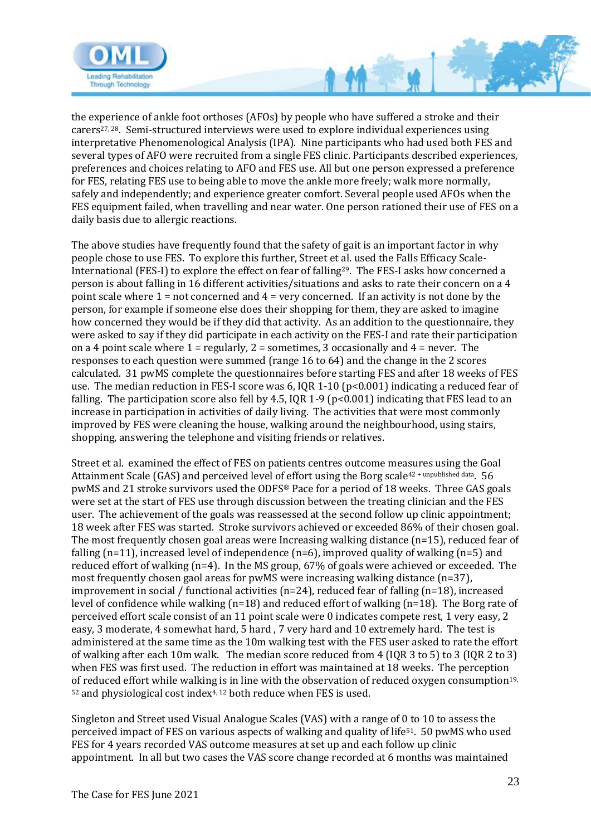

the experience of ankle foot orthoses (AFOs) by people who have suffered a stroke and their carers27, 28. Semi-structured interviews were used to explore individual experiences using interpretative Phenomenological Analysis (IPA).Nine participants who had used both FES and several types of AFO were recruited from a single FES clinic. Participants described experiences, preferences and choices relating to AFO and FES use. All but one person expressed a preference for FES, relating FES use to being able to move the ankle more freely; walk more normally, safely and independently; and experience greater comfort. Several people used AFOs when the FES equipment failed, when travelling and near water. One person rationed their use of FES on a daily basis due to allergic reactions.

 $\gamma$ 

The above studies have frequently found that the safety of gait is an important factor in why people chose to use FES. To explore this further, Street et al. used the Falls Efficacy Scale-International (FES-I) to explore the effect on fear of falling29. The FES-I asks how concerned a person is about falling in 16 different activities/situations and asks to rate their concern on a 4 point scale where  $1 = not$  concerned and  $4 =$  very concerned. If an activity is not done by the person, for example if someone else does their shopping for them, they are asked to imagine how concerned they would be if they did that activity. As an addition to the questionnaire, they were asked to say if they did participate in each activity on the FES-I and rate their participation on a 4 point scale where  $1 =$  regularly,  $2 =$  sometimes, 3 occasionally and  $4 =$  never. The responses to each question were summed (range 16 to 64) and the change in the 2 scores calculated. 31 pwMS complete the questionnaires before starting FES and after 18 weeks of FES use. The median reduction in FES-I score was 6, IQR 1-10 (p<0.001) indicating a reduced fear of falling. The participation score also fell by 4.5, IOR 1-9 ( $p<0.001$ ) indicating that FES lead to an increase in participation in activities of daily living. The activities that were most commonly improved by FES were cleaning the house, walking around the neighbourhood, using stairs, shopping, answering the telephone and visiting friends or relatives.

Street et al. examined the effect of FES on patients centres outcome measures using the Goal Attainment Scale (GAS) and perceived level of effort using the Borg scale<sup>42+ unpublished data</sup>. 56 pwMS and 21 stroke survivors used the ODFS® Pace for a period of 18 weeks. Three GAS goals were set at the start of FES use through discussion between the treating clinician and the FES user. The achievement of the goals was reassessed at the second follow up clinic appointment; 18 week after FES was started. Stroke survivors achieved or exceeded 86% of their chosen goal. The most frequently chosen goal areas were Increasing walking distance (n=15), reduced fear of falling (n=11), increased level of independence (n=6), improved quality of walking (n=5) and reduced effort of walking (n=4). In the MS group, 67% of goals were achieved or exceeded. The most frequently chosen gaol areas for pwMS were increasing walking distance (n=37), improvement in social / functional activities (n=24), reduced fear of falling (n=18), increased level of confidence while walking (n=18) and reduced effort of walking (n=18). The Borg rate of perceived effort scale consist of an 11 point scale were 0 indicates compete rest, 1 very easy, 2 easy, 3 moderate, 4 somewhat hard, 5 hard , 7 very hard and 10 extremely hard. The test is administered at the same time as the 10m walking test with the FES user asked to rate the effort of walking after each 10m walk. The median score reduced from 4 (IQR 3 to 5) to 3 (IQR 2 to 3) when FES was first used. The reduction in effort was maintained at 18 weeks. The perception of reduced effort while walking is in line with the observation of reduced oxygen consumption<sup>19,</sup>  $52$  and physiological cost index<sup>4, 12</sup> both reduce when FES is used.

Singleton and Street used Visual Analogue Scales (VAS) with a range of 0 to 10 to assess the perceived impact of FES on various aspects of walking and quality of life51. 50 pwMS who used FES for 4 years recorded VAS outcome measures at set up and each follow up clinic appointment. In all but two cases the VAS score change recorded at 6 months was maintained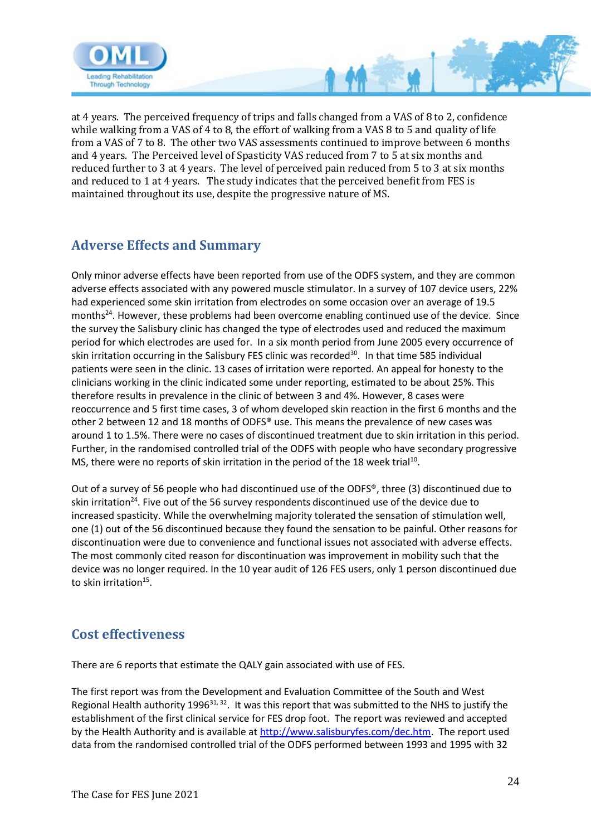

at 4 years. The perceived frequency of trips and falls changed from a VAS of 8 to 2, confidence while walking from a VAS of 4 to 8, the effort of walking from a VAS 8 to 5 and quality of life from a VAS of 7 to 8. The other two VAS assessments continued to improve between 6 months and 4 years. The Perceived level of Spasticity VAS reduced from 7 to 5 at six months and reduced further to 3 at 4 years. The level of perceived pain reduced from 5 to 3 at six months and reduced to 1 at 4 years. The study indicates that the perceived benefit from FES is maintained throughout its use, despite the progressive nature of MS.

## <span id="page-23-0"></span>**Adverse Effects and Summary**

Only minor adverse effects have been reported from use of the ODFS system, and they are common adverse effects associated with any powered muscle stimulator. In a survey of 107 device users, 22% had experienced some skin irritation from electrodes on some occasion over an average of 19.5 months<sup>24</sup>. However, these problems had been overcome enabling continued use of the device. Since the survey the Salisbury clinic has changed the type of electrodes used and reduced the maximum period for which electrodes are used for. In a six month period from June 2005 every occurrence of skin irritation occurring in the Salisbury FES clinic was recorded<sup>30</sup>. In that time 585 individual patients were seen in the clinic. 13 cases of irritation were reported. An appeal for honesty to the clinicians working in the clinic indicated some under reporting, estimated to be about 25%. This therefore results in prevalence in the clinic of between 3 and 4%. However, 8 cases were reoccurrence and 5 first time cases, 3 of whom developed skin reaction in the first 6 months and the other 2 between 12 and 18 months of ODFS® use. This means the prevalence of new cases was around 1 to 1.5%. There were no cases of discontinued treatment due to skin irritation in this period. Further, in the randomised controlled trial of the ODFS with people who have secondary progressive MS, there were no reports of skin irritation in the period of the 18 week trial<sup>10</sup>.

Out of a survey of 56 people who had discontinued use of the ODFS®, three (3) discontinued due to skin irritation<sup>24</sup>. Five out of the 56 survey respondents discontinued use of the device due to increased spasticity. While the overwhelming majority tolerated the sensation of stimulation well, one (1) out of the 56 discontinued because they found the sensation to be painful. Other reasons for discontinuation were due to convenience and functional issues not associated with adverse effects. The most commonly cited reason for discontinuation was improvement in mobility such that the device was no longer required. In the 10 year audit of 126 FES users, only 1 person discontinued due to skin irritation $^{15}$ .

## <span id="page-23-1"></span>**Cost effectiveness**

There are 6 reports that estimate the QALY gain associated with use of FES.

The first report was from the Development and Evaluation Committee of the South and West Regional Health authority 1996<sup>31, 32</sup>. It was this report that was submitted to the NHS to justify the establishment of the first clinical service for FES drop foot. The report was reviewed and accepted by the Health Authority and is available at [http://www.salisburyfes.com/dec.htm.](http://www.salisburyfes.com/dec.htm) The report used data from the randomised controlled trial of the ODFS performed between 1993 and 1995 with 32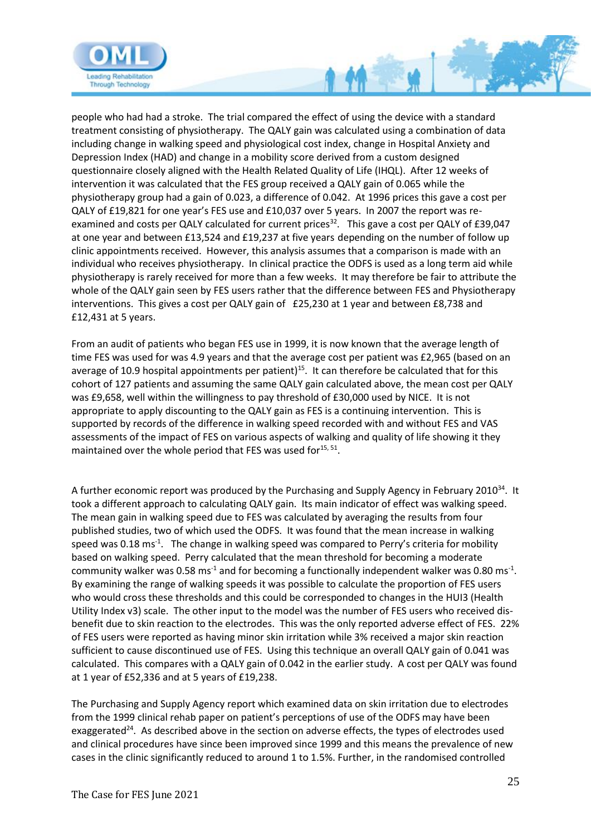

people who had had a stroke. The trial compared the effect of using the device with a standard treatment consisting of physiotherapy. The QALY gain was calculated using a combination of data including change in walking speed and physiological cost index, change in Hospital Anxiety and Depression Index (HAD) and change in a mobility score derived from a custom designed questionnaire closely aligned with the Health Related Quality of Life (IHQL). After 12 weeks of intervention it was calculated that the FES group received a QALY gain of 0.065 while the physiotherapy group had a gain of 0.023, a difference of 0.042. At 1996 prices this gave a cost per QALY of £19,821 for one year's FES use and £10,037 over 5 years. In 2007 the report was reexamined and costs per QALY calculated for current prices<sup>32</sup>. This gave a cost per QALY of £39,047 at one year and between £13,524 and £19,237 at five years depending on the number of follow up clinic appointments received. However, this analysis assumes that a comparison is made with an individual who receives physiotherapy. In clinical practice the ODFS is used as a long term aid while physiotherapy is rarely received for more than a few weeks. It may therefore be fair to attribute the whole of the QALY gain seen by FES users rather that the difference between FES and Physiotherapy interventions. This gives a cost per QALY gain of £25,230 at 1 year and between £8,738 and £12,431 at 5 years.

From an audit of patients who began FES use in 1999, it is now known that the average length of time FES was used for was 4.9 years and that the average cost per patient was £2,965 (based on an average of 10.9 hospital appointments per patient)<sup>15</sup>. It can therefore be calculated that for this cohort of 127 patients and assuming the same QALY gain calculated above, the mean cost per QALY was £9,658, well within the willingness to pay threshold of £30,000 used by NICE. It is not appropriate to apply discounting to the QALY gain as FES is a continuing intervention. This is supported by records of the difference in walking speed recorded with and without FES and VAS assessments of the impact of FES on various aspects of walking and quality of life showing it they maintained over the whole period that FES was used for<sup>15, 51</sup>.

A further economic report was produced by the Purchasing and Supply Agency in February 2010<sup>34</sup>. It took a different approach to calculating QALY gain. Its main indicator of effect was walking speed. The mean gain in walking speed due to FES was calculated by averaging the results from four published studies, two of which used the ODFS. It was found that the mean increase in walking speed was 0.18 ms<sup>-1</sup>. The change in walking speed was compared to Perry's criteria for mobility based on walking speed. Perry calculated that the mean threshold for becoming a moderate community walker was 0.58 ms<sup>-1</sup> and for becoming a functionally independent walker was 0.80 ms<sup>-1</sup>. By examining the range of walking speeds it was possible to calculate the proportion of FES users who would cross these thresholds and this could be corresponded to changes in the HUI3 (Health Utility Index v3) scale. The other input to the model was the number of FES users who received disbenefit due to skin reaction to the electrodes. This was the only reported adverse effect of FES. 22% of FES users were reported as having minor skin irritation while 3% received a major skin reaction sufficient to cause discontinued use of FES. Using this technique an overall QALY gain of 0.041 was calculated. This compares with a QALY gain of 0.042 in the earlier study. A cost per QALY was found at 1 year of £52,336 and at 5 years of £19,238.

The Purchasing and Supply Agency report which examined data on skin irritation due to electrodes from the 1999 clinical rehab paper on patient's perceptions of use of the ODFS may have been exaggerated $24$ . As described above in the section on adverse effects, the types of electrodes used and clinical procedures have since been improved since 1999 and this means the prevalence of new cases in the clinic significantly reduced to around 1 to 1.5%. Further, in the randomised controlled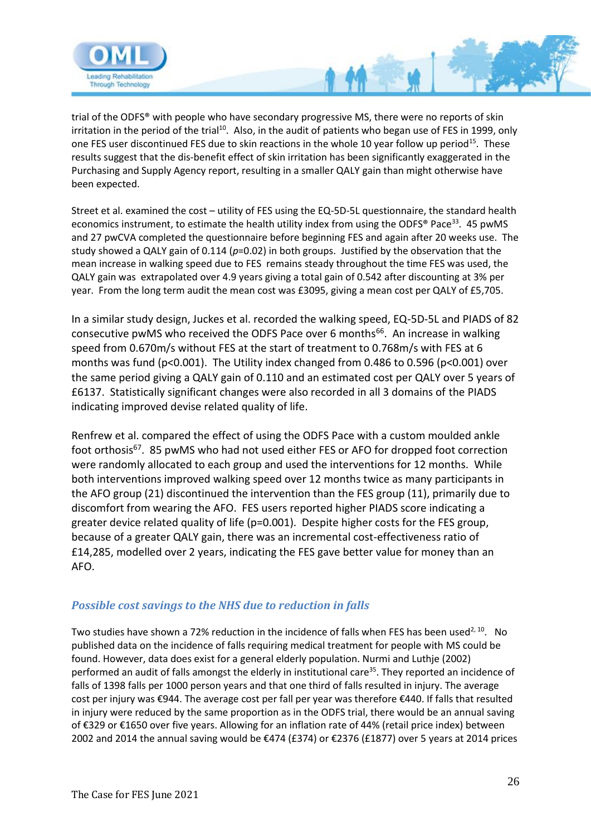

trial of the ODFS® with people who have secondary progressive MS, there were no reports of skin irritation in the period of the trial<sup>10</sup>. Also, in the audit of patients who began use of FES in 1999, only one FES user discontinued FES due to skin reactions in the whole 10 year follow up period<sup>15</sup>. These results suggest that the dis-benefit effect of skin irritation has been significantly exaggerated in the Purchasing and Supply Agency report, resulting in a smaller QALY gain than might otherwise have been expected.

Street et al. examined the cost – utility of FES using the EQ-5D-5L questionnaire, the standard health economics instrument, to estimate the health utility index from using the ODFS® Pace<sup>33</sup>. 45 pwMS and 27 pwCVA completed the questionnaire before beginning FES and again after 20 weeks use. The study showed a QALY gain of 0.114 (*p*=0.02) in both groups. Justified by the observation that the mean increase in walking speed due to FES remains steady throughout the time FES was used, the QALY gain was extrapolated over 4.9 years giving a total gain of 0.542 after discounting at 3% per year. From the long term audit the mean cost was £3095, giving a mean cost per QALY of £5,705.

In a similar study design, Juckes et al. recorded the walking speed, EQ-5D-5L and PIADS of 82 consecutive pwMS who received the ODFS Pace over 6 months<sup>66</sup>. An increase in walking speed from 0.670m/s without FES at the start of treatment to 0.768m/s with FES at 6 months was fund (p<0.001). The Utility index changed from 0.486 to 0.596 (p<0.001) over the same period giving a QALY gain of 0.110 and an estimated cost per QALY over 5 years of £6137. Statistically significant changes were also recorded in all 3 domains of the PIADS indicating improved devise related quality of life.

Renfrew et al. compared the effect of using the ODFS Pace with a custom moulded ankle foot orthosis<sup>67</sup>. 85 pwMS who had not used either FES or AFO for dropped foot correction were randomly allocated to each group and used the interventions for 12 months. While both interventions improved walking speed over 12 months twice as many participants in the AFO group (21) discontinued the intervention than the FES group (11), primarily due to discomfort from wearing the AFO. FES users reported higher PIADS score indicating a greater device related quality of life (p=0.001). Despite higher costs for the FES group, because of a greater QALY gain, there was an incremental cost-effectiveness ratio of £14,285, modelled over 2 years, indicating the FES gave better value for money than an AFO.

#### *Possible cost savings to the NHS due to reduction in falls*

Two studies have shown a 72% reduction in the incidence of falls when FES has been used<sup>2, 10</sup>. No published data on the incidence of falls requiring medical treatment for people with MS could be found. However, data does exist for a general elderly population. Nurmi and Luthje (2002) performed an audit of falls amongst the elderly in institutional care<sup>35</sup>. They reported an incidence of falls of 1398 falls per 1000 person years and that one third of falls resulted in injury. The average cost per injury was €944. The average cost per fall per year was therefore €440. If falls that resulted in injury were reduced by the same proportion as in the ODFS trial, there would be an annual saving of €329 or €1650 over five years. Allowing for an inflation rate of 44% (retail price index) between 2002 and 2014 the annual saving would be €474 (£374) or €2376 (£1877) over 5 years at 2014 prices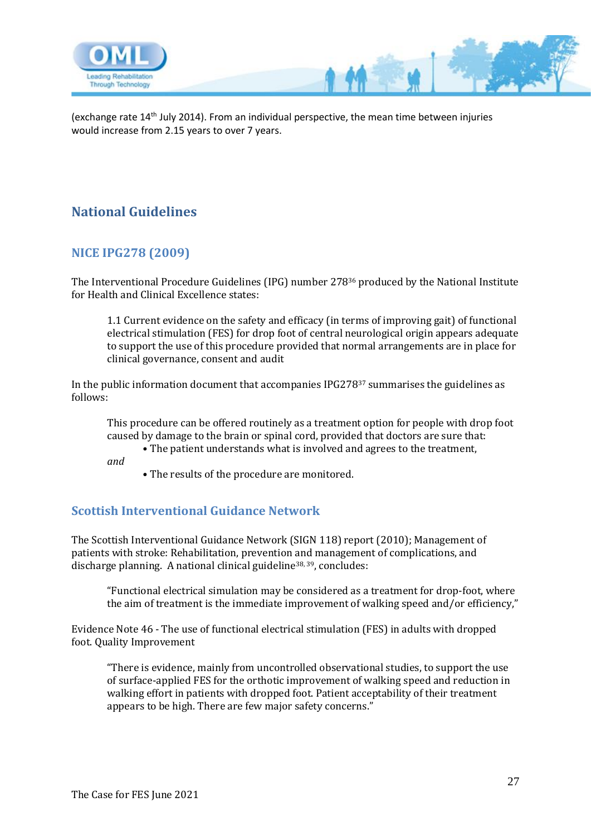

(exchange rate 14th July 2014). From an individual perspective, the mean time between injuries would increase from 2.15 years to over 7 years.

 $M$ 

# <span id="page-26-0"></span>**National Guidelines**

### <span id="page-26-1"></span>**NICE IPG278 (2009)**

The Interventional Procedure Guidelines (IPG) number 278<sup>36</sup> produced by the National Institute for Health and Clinical Excellence states:

1.1 Current evidence on the safety and efficacy (in terms of improving gait) of functional electrical stimulation (FES) for drop foot of central neurological origin appears adequate to support the use of this procedure provided that normal arrangements are in place for clinical governance, consent and audit

In the public information document that accompanies IPG278<sup>37</sup> summarises the guidelines as follows:

This procedure can be offered routinely as a treatment option for people with drop foot caused by damage to the brain or spinal cord, provided that doctors are sure that:

• The patient understands what is involved and agrees to the treatment,

*and*

• The results of the procedure are monitored.

#### <span id="page-26-2"></span>**Scottish Interventional Guidance Network**

The Scottish Interventional Guidance Network (SIGN 118) report (2010); Management of patients with stroke: Rehabilitation, prevention and management of complications, and discharge planning. A national clinical guideline38, 39, concludes:

"Functional electrical simulation may be considered as a treatment for drop-foot, where the aim of treatment is the immediate improvement of walking speed and/or efficiency,"

Evidence Note 46 - The use of functional electrical stimulation (FES) in adults with dropped foot. Quality Improvement

"There is evidence, mainly from uncontrolled observational studies, to support the use of surface-applied FES for the orthotic improvement of walking speed and reduction in walking effort in patients with dropped foot. Patient acceptability of their treatment appears to be high. There are few major safety concerns."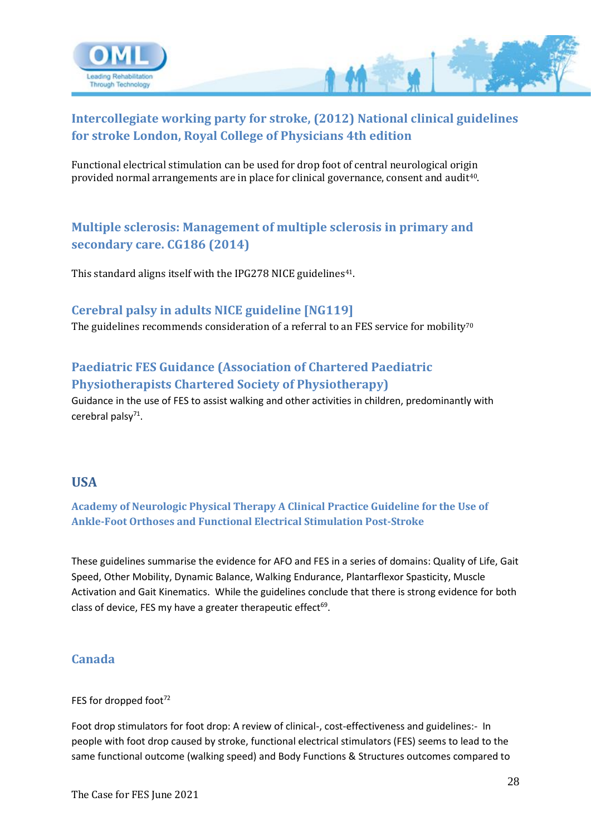

### <span id="page-27-0"></span>**Intercollegiate working party for stroke, (2012) National clinical guidelines for stroke London, Royal College of Physicians 4th edition**

Functional electrical stimulation can be used for drop foot of central neurological origin provided normal arrangements are in place for clinical governance, consent and audit40.

### <span id="page-27-1"></span>**Multiple sclerosis: Management of multiple sclerosis in primary and secondary care. CG186 (2014)**

This standard aligns itself with the IPG278 NICE guidelines<sup>41</sup>.

#### <span id="page-27-2"></span>**Cerebral palsy in adults NICE guideline [NG119]**

The guidelines recommends consideration of a referral to an FES service for mobility<sup>70</sup>

### <span id="page-27-3"></span>**Paediatric FES Guidance (Association of Chartered Paediatric Physiotherapists Chartered Society of Physiotherapy)**

Guidance in the use of FES to assist walking and other activities in children, predominantly with cerebral palsy<sup>71</sup>.

#### <span id="page-27-4"></span>**USA**

<span id="page-27-5"></span>**Academy of Neurologic Physical Therapy A Clinical Practice Guideline for the Use of Ankle-Foot Orthoses and Functional Electrical Stimulation Post-Stroke** 

These guidelines summarise the evidence for AFO and FES in a series of domains: Quality of Life, Gait Speed, Other Mobility, Dynamic Balance, Walking Endurance, Plantarflexor Spasticity, Muscle Activation and Gait Kinematics. While the guidelines conclude that there is strong evidence for both class of device, FES my have a greater therapeutic effect<sup>69</sup>.

#### <span id="page-27-6"></span>**Canada**

#### FES for dropped foot<sup>72</sup>

Foot drop stimulators for foot drop: A review of clinical-, cost-effectiveness and guidelines:- In people with foot drop caused by stroke, functional electrical stimulators (FES) seems to lead to the same functional outcome (walking speed) and Body Functions & Structures outcomes compared to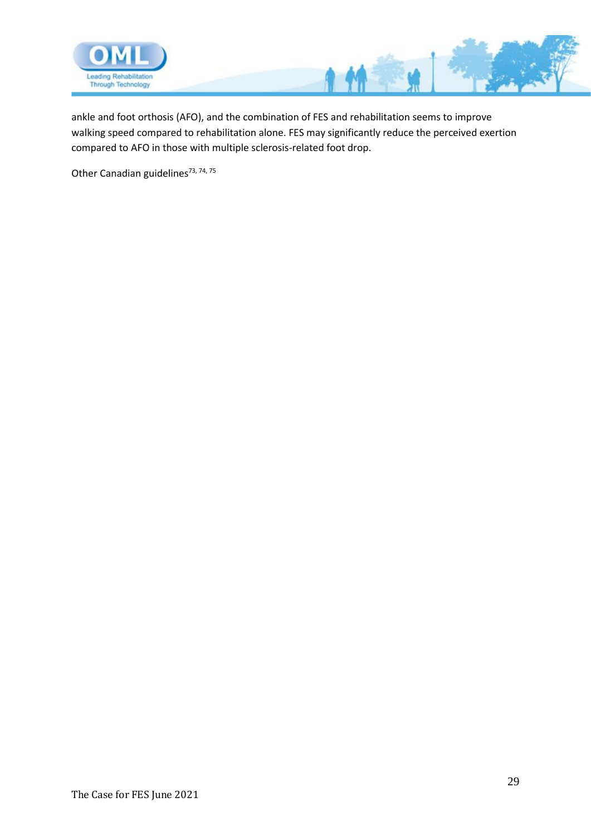

ankle and foot orthosis (AFO), and the combination of FES and rehabilitation seems to improve walking speed compared to rehabilitation alone. FES may significantly reduce the perceived exertion compared to AFO in those with multiple sclerosis-related foot drop.

Other Canadian guidelines<sup>73, 74, 75</sup>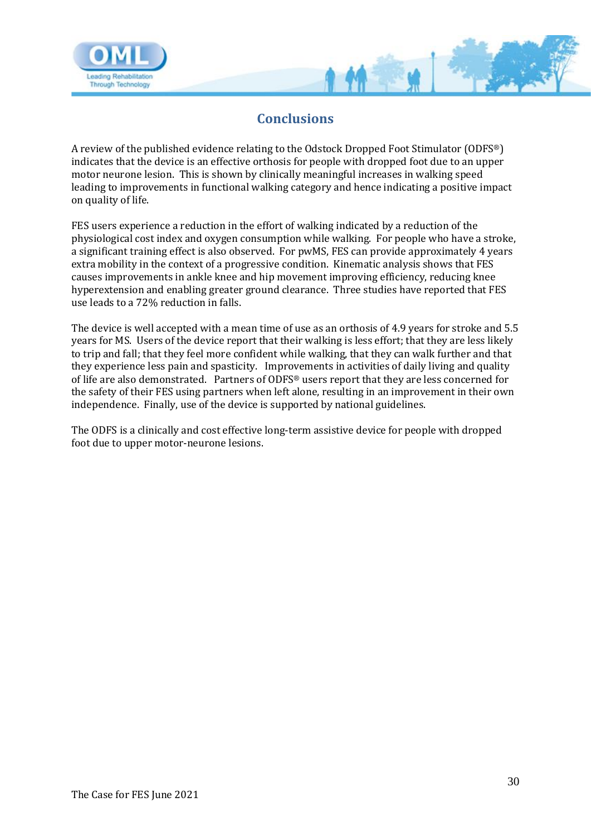

### **Conclusions**

<span id="page-29-0"></span>A review of the published evidence relating to the Odstock Dropped Foot Stimulator (ODFS®) indicates that the device is an effective orthosis for people with dropped foot due to an upper motor neurone lesion. This is shown by clinically meaningful increases in walking speed leading to improvements in functional walking category and hence indicating a positive impact on quality of life.

FES users experience a reduction in the effort of walking indicated by a reduction of the physiological cost index and oxygen consumption while walking. For people who have a stroke, a significant training effect is also observed. For pwMS, FES can provide approximately 4 years extra mobility in the context of a progressive condition. Kinematic analysis shows that FES causes improvements in ankle knee and hip movement improving efficiency, reducing knee hyperextension and enabling greater ground clearance. Three studies have reported that FES use leads to a 72% reduction in falls.

The device is well accepted with a mean time of use as an orthosis of 4.9 years for stroke and 5.5 years for MS. Users of the device report that their walking is less effort; that they are less likely to trip and fall; that they feel more confident while walking, that they can walk further and that they experience less pain and spasticity. Improvements in activities of daily living and quality of life are also demonstrated. Partners of ODFS® users report that they are less concerned for the safety of their FES using partners when left alone, resulting in an improvement in their own independence. Finally, use of the device is supported by national guidelines.

The ODFS is a clinically and cost effective long-term assistive device for people with dropped foot due to upper motor-neurone lesions.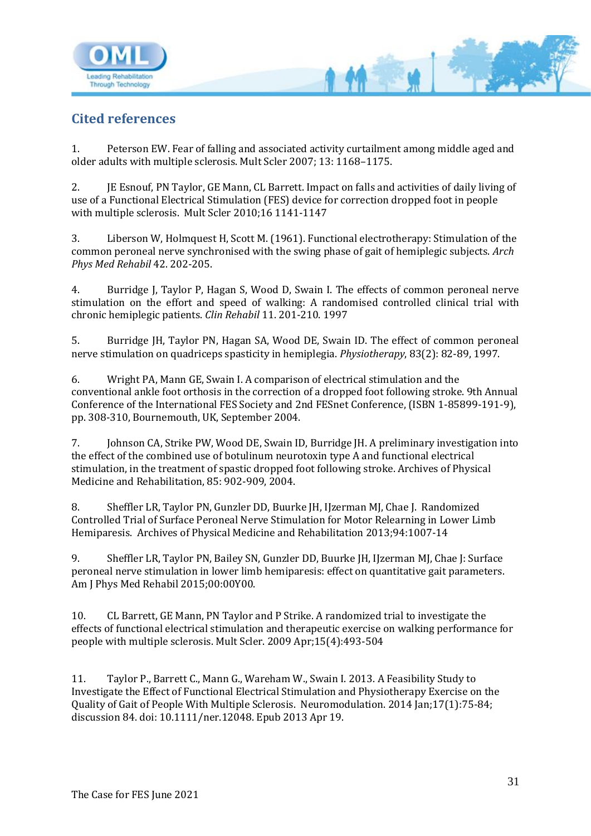

## <span id="page-30-0"></span>**Cited references**

1. Peterson EW. Fear of falling and associated activity curtailment among middle aged and older adults with multiple sclerosis. Mult Scler 2007; 13: 1168–1175.

M

2. JE Esnouf, PN Taylor, GE Mann, CL Barrett. Impact on falls and activities of daily living of use of a Functional Electrical Stimulation (FES) device for correction dropped foot in people with multiple sclerosis. Mult Scler 2010;16 1141-1147

3. Liberson W, Holmquest H, Scott M. (1961). Functional electrotherapy: Stimulation of the common peroneal nerve synchronised with the swing phase of gait of hemiplegic subjects. *Arch Phys Med Rehabil* 42. 202-205.

4. Burridge J, Taylor P, Hagan S, Wood D, Swain I. The effects of common peroneal nerve stimulation on the effort and speed of walking: A randomised controlled clinical trial with chronic hemiplegic patients. *Clin Rehabil* 11. 201-210. 1997

5. Burridge JH, Taylor PN, Hagan SA, Wood DE, Swain ID. The effect of common peroneal nerve stimulation on quadriceps spasticity in hemiplegia. *Physiotherapy*, 83(2): 82-89, 1997.

6. Wright PA, Mann GE, Swain I. A comparison of electrical stimulation and the conventional ankle foot orthosis in the correction of a dropped foot following stroke. 9th Annual Conference of the International FES Society and 2nd FESnet Conference, (ISBN 1-85899-191-9), pp. 308-310, Bournemouth, UK, September 2004.

7. Johnson CA, Strike PW, Wood DE, Swain ID, Burridge JH. A preliminary investigation into the effect of the combined use of botulinum neurotoxin type A and functional electrical stimulation, in the treatment of spastic dropped foot following stroke. Archives of Physical Medicine and Rehabilitation, 85: 902-909, 2004.

8. Sheffler LR, Taylor PN, Gunzler DD, Buurke JH, IJzerman MJ, Chae J. Randomized Controlled Trial of Surface Peroneal Nerve Stimulation for Motor Relearning in Lower Limb Hemiparesis. Archives of Physical Medicine and Rehabilitation 2013;94:1007-14

9. Sheffler LR, Taylor PN, Bailey SN, Gunzler DD, Buurke JH, IJzerman MJ, Chae J: Surface peroneal nerve stimulation in lower limb hemiparesis: effect on quantitative gait parameters. Am J Phys Med Rehabil 2015;00:00Y00.

10. CL Barrett, GE Mann, PN Taylor and P Strike. A randomized trial to investigate the effects of functional electrical stimulation and therapeutic exercise on walking performance for people with multiple sclerosis. Mult Scler. 2009 Apr;15(4):493-504

11. Taylor P., Barrett C., Mann G., Wareham W., Swain I. 2013. A Feasibility Study to Investigate the Effect of Functional Electrical Stimulation and Physiotherapy Exercise on the Quality of Gait of People With Multiple Sclerosis. Neuromodulation. 2014 Jan;17(1):75-84; discussion 84. doi: 10.1111/ner.12048. Epub 2013 Apr 19.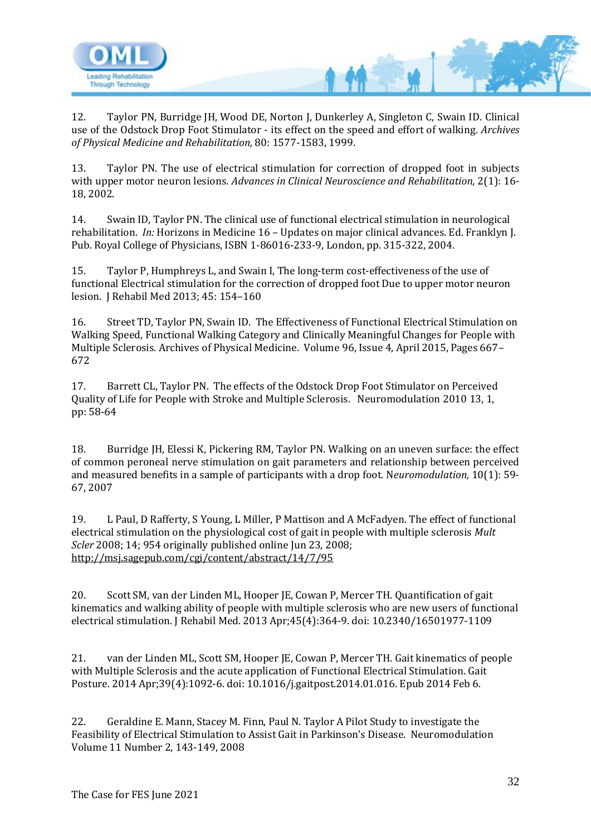

12. Taylor PN, Burridge JH, Wood DE, Norton J, Dunkerley A, Singleton C, Swain ID. Clinical use of the Odstock Drop Foot Stimulator - its effect on the speed and effort of walking. *Archives of Physical Medicine and Rehabilitation,* 80: 1577-1583, 1999.

13. Taylor PN. The use of electrical stimulation for correction of dropped foot in subjects with upper motor neuron lesions. *Advances in Clinical Neuroscience and Rehabilitation,* 2(1): 16- 18, 2002.

14. Swain ID, Taylor PN. The clinical use of functional electrical stimulation in neurological rehabilitation. *In:* Horizons in Medicine 16 – Updates on major clinical advances. Ed. Franklyn J. Pub. Royal College of Physicians, ISBN 1-86016-233-9, London, pp. 315-322, 2004.

15. Taylor P, Humphreys L, and Swain I, The long-term cost-effectiveness of the use of functional Electrical stimulation for the correction of dropped foot Due to upper motor neuron lesion. J Rehabil Med 2013; 45: 154–160

16. Street TD, Taylor PN, Swain ID. The Effectiveness of Functional Electrical Stimulation on Walking Speed, Functional Walking Category and Clinically Meaningful Changes for People with Multiple Sclerosis. Archives of Physical Medicine. Volume 96, Issue 4, April 2015, Pages 667– 672

17. Barrett CL, Taylor PN. The effects of the Odstock Drop Foot Stimulator on Perceived Quality of Life for People with Stroke and Multiple Sclerosis. Neuromodulation 2010 13, 1, pp: 58-64

18. Burridge JH, Elessi K, Pickering RM, Taylor PN. Walking on an uneven surface: the effect of common peroneal nerve stimulation on gait parameters and relationship between perceived and measured benefits in a sample of participants with a drop foot. N*euromodulation,* 10(1): 59- 67, 2007

19. L Paul, D Rafferty, S Young, L Miller, P Mattison and A McFadyen. The effect of functional electrical stimulation on the physiological cost of gait in people with multiple sclerosis *Mult Scler* 2008; 14; 954 originally published online Jun 23, 2008; <http://msj.sagepub.com/cgi/content/abstract/14/7/95>

20. Scott SM, van der Linden ML, Hooper JE, Cowan P, Mercer TH. Quantification of gait kinematics and walking ability of people with multiple sclerosis who are new users of functional electrical stimulation. J Rehabil Med. 2013 Apr;45(4):364-9. doi: 10.2340/16501977-1109

21. van der Linden ML, Scott SM, Hooper JE, Cowan P, Mercer TH. Gait kinematics of people with Multiple Sclerosis and the acute application of Functional Electrical Stimulation. Gait Posture. 2014 Apr;39(4):1092-6. doi: 10.1016/j.gaitpost.2014.01.016. Epub 2014 Feb 6.

22. Geraldine E. Mann, Stacey M. Finn, Paul N. Taylor A Pilot Study to investigate the Feasibility of Electrical Stimulation to Assist Gait in Parkinson's Disease. Neuromodulation Volume 11 Number 2, 143-149, 2008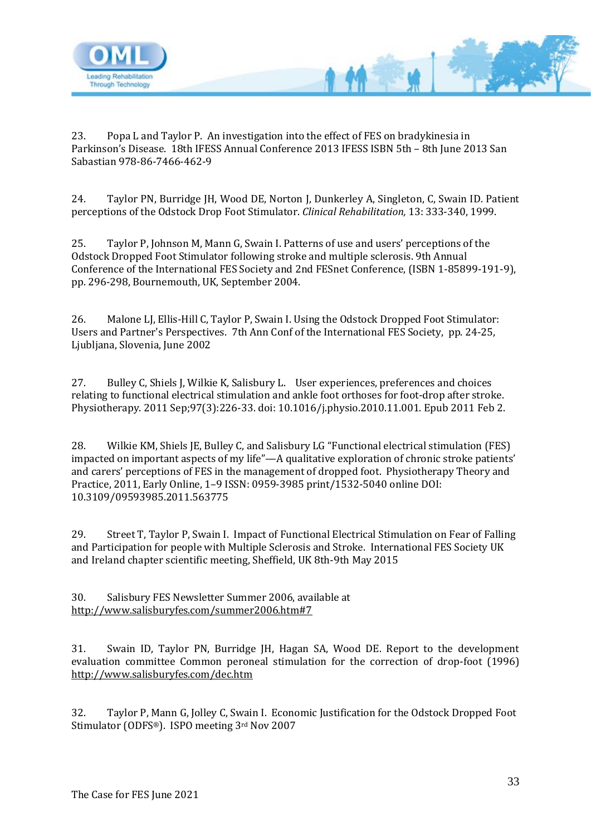

23. Popa L and Taylor P. An investigation into the effect of FES on bradykinesia in Parkinson's Disease. 18th IFESS Annual Conference 2013 IFESS ISBN 5th – 8th June 2013 San Sabastian 978-86-7466-462-9

24. Taylor PN, Burridge JH, Wood DE, Norton J, Dunkerley A, Singleton, C, Swain ID. Patient perceptions of the Odstock Drop Foot Stimulator. *Clinical Rehabilitation,* 13: 333-340, 1999.

25. Taylor P, Johnson M, Mann G, Swain I. Patterns of use and users' perceptions of the Odstock Dropped Foot Stimulator following stroke and multiple sclerosis. 9th Annual Conference of the International FES Society and 2nd FESnet Conference, (ISBN 1-85899-191-9), pp. 296-298, Bournemouth, UK, September 2004.

26. Malone LJ, Ellis-Hill C, Taylor P, Swain I. Using the Odstock Dropped Foot Stimulator: Users and Partner's Perspectives. 7th Ann Conf of the International FES Society, pp. 24-25, Ljubljana, Slovenia, June 2002

27. Bulley C, Shiels J, Wilkie K, Salisbury L. User experiences, preferences and choices relating to functional electrical stimulation and ankle foot orthoses for foot-drop after stroke. Physiotherapy. 2011 Sep;97(3):226-33. doi: 10.1016/j.physio.2010.11.001. Epub 2011 Feb 2.

28. Wilkie KM, Shiels JE, Bulley C, and Salisbury LG "Functional electrical stimulation (FES) impacted on important aspects of my life"—A qualitative exploration of chronic stroke patients' and carers' perceptions of FES in the management of dropped foot. Physiotherapy Theory and Practice, 2011, Early Online, 1–9 ISSN: 0959-3985 print/1532-5040 online DOI: 10.3109/09593985.2011.563775

29. Street T, Taylor P, Swain I. Impact of Functional Electrical Stimulation on Fear of Falling and Participation for people with Multiple Sclerosis and Stroke. International FES Society UK and Ireland chapter scientific meeting, Sheffield, UK 8th-9th May 2015

30. Salisbury FES Newsletter Summer 2006, available at <http://www.salisburyfes.com/summer2006.htm#7>

31. Swain ID, Taylor PN, Burridge JH, Hagan SA, Wood DE. Report to the development evaluation committee Common peroneal stimulation for the correction of drop-foot (1996) <http://www.salisburyfes.com/dec.htm>

32. Taylor P, Mann G, Jolley C, Swain I. Economic Justification for the Odstock Dropped Foot Stimulator (ODFS®). ISPO meeting 3rd Nov 2007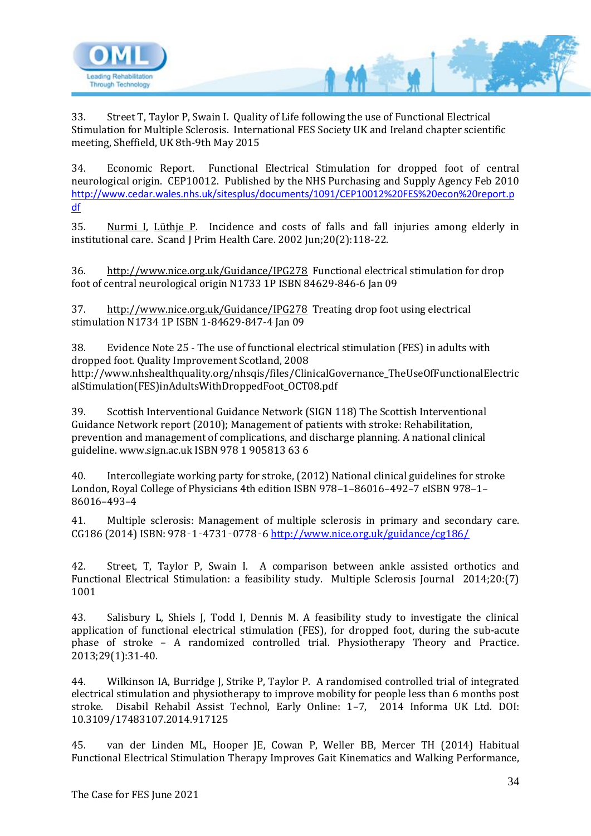

33. Street T, Taylor P, Swain I. Quality of Life following the use of Functional Electrical Stimulation for Multiple Sclerosis. International FES Society UK and Ireland chapter scientific meeting, Sheffield, UK 8th-9th May 2015

34. Economic Report. Functional Electrical Stimulation for dropped foot of central neurological origin. CEP10012. Published by the NHS Purchasing and Supply Agency Feb 2010 [http://www.cedar.wales.nhs.uk/sitesplus/documents/1091/CEP10012%20FES%20econ%20report.p](http://www.cedar.wales.nhs.uk/sitesplus/documents/1091/CEP10012%20FES%20econ%20report.pdf) [df](http://www.cedar.wales.nhs.uk/sitesplus/documents/1091/CEP10012%20FES%20econ%20report.pdf)

35. [Nurmi I,](http://www.ncbi.nlm.nih.gov/sites/entrez?Db=pubmed&Cmd=Search&Term=%22Nurmi%20I%22%5BAuthor%5D&itool=EntrezSystem2.PEntrez.Pubmed.Pubmed_ResultsPanel.Pubmed_RVAbstractPlus) [Lüthje P.](http://www.ncbi.nlm.nih.gov/sites/entrez?Db=pubmed&Cmd=Search&Term=%22L%C3%BCthje%20P%22%5BAuthor%5D&itool=EntrezSystem2.PEntrez.Pubmed.Pubmed_ResultsPanel.Pubmed_RVAbstractPlus) Incidence and costs of falls and fall injuries among elderly in institutional care. Scand J Prim Health Care. 2002 Jun;20(2):118-22.

36. <http://www.nice.org.uk/Guidance/IPG278>Functional electrical stimulation for drop foot of central neurological origin N1733 1P ISBN 84629-846-6 Jan 09

37. <http://www.nice.org.uk/Guidance/IPG278>Treating drop foot using electrical stimulation N1734 1P ISBN 1-84629-847-4 Jan 09

38. Evidence Note 25 - The use of functional electrical stimulation (FES) in adults with dropped foot. Quality Improvement Scotland, 2008 http://www.nhshealthquality.org/nhsqis/files/ClinicalGovernance\_TheUseOfFunctionalElectric alStimulation(FES)inAdultsWithDroppedFoot\_OCT08.pdf

39. Scottish Interventional Guidance Network (SIGN 118) The Scottish Interventional Guidance Network report (2010); Management of patients with stroke: Rehabilitation, prevention and management of complications, and discharge planning. A national clinical guideline. www.sign.ac.uk ISBN 978 1 905813 63 6

40. Intercollegiate working party for stroke, (2012) National clinical guidelines for stroke London, Royal College of Physicians 4th edition ISBN 978–1–86016–492–7 eISBN 978–1– 86016–493–4

41. Multiple sclerosis: Management of multiple sclerosis in primary and secondary care. CG186 (2014) ISBN: 978‑1‑4731‑0778‑6<http://www.nice.org.uk/guidance/cg186/>

42. Street, T, Taylor P, Swain I. A comparison between ankle assisted orthotics and Functional Electrical Stimulation: a feasibility study. Multiple Sclerosis Journal 2014;20:(7) 1001

43. Salisbury L, Shiels J, Todd I, Dennis M. A feasibility study to investigate the clinical application of functional electrical stimulation (FES), for dropped foot, during the sub-acute phase of stroke – A randomized controlled trial. Physiotherapy Theory and Practice. 2013;29(1):31-40.

44. Wilkinson IA, Burridge J, Strike P, Taylor P. A randomised controlled trial of integrated electrical stimulation and physiotherapy to improve mobility for people less than 6 months post stroke. Disabil Rehabil Assist Technol, Early Online: 1–7, 2014 Informa UK Ltd. DOI: 10.3109/17483107.2014.917125

45. van der Linden ML, Hooper JE, Cowan P, Weller BB, Mercer TH (2014) Habitual Functional Electrical Stimulation Therapy Improves Gait Kinematics and Walking Performance,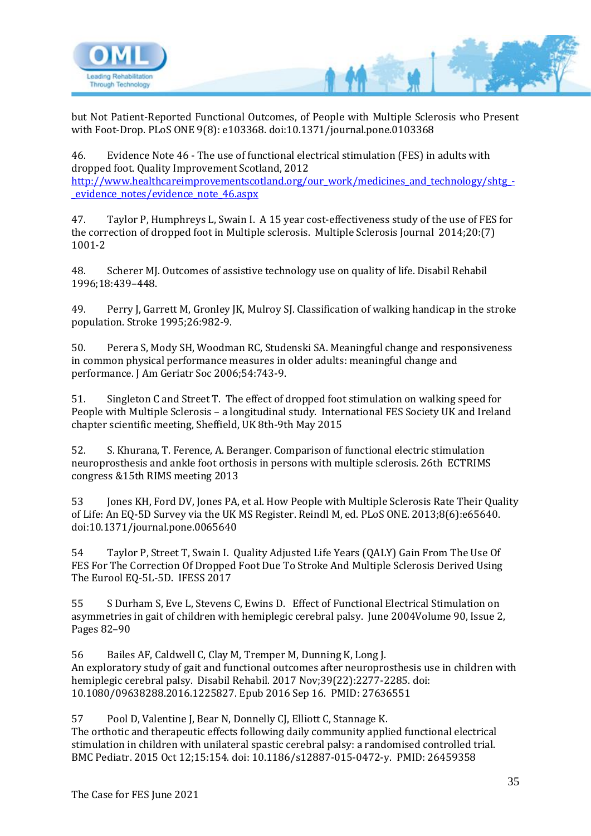

but Not Patient-Reported Functional Outcomes, of People with Multiple Sclerosis who Present with Foot-Drop. PLoS ONE 9(8): e103368. doi:10.1371/journal.pone.0103368

46. Evidence Note 46 - The use of functional electrical stimulation (FES) in adults with dropped foot. Quality Improvement Scotland, 2012 [http://www.healthcareimprovementscotland.org/our\\_work/medicines\\_and\\_technology/shtg\\_-](http://www.healthcareimprovementscotland.org/our_work/medicines_and_technology/shtg_-_evidence_notes/evidence_note_46.aspx) [\\_evidence\\_notes/evidence\\_note\\_46.aspx](http://www.healthcareimprovementscotland.org/our_work/medicines_and_technology/shtg_-_evidence_notes/evidence_note_46.aspx)

47. Taylor P, Humphreys L, Swain I. A 15 year cost-effectiveness study of the use of FES for the correction of dropped foot in Multiple sclerosis. Multiple Sclerosis Journal 2014;20:(7) 1001-2

48. Scherer MJ. Outcomes of assistive technology use on quality of life. Disabil Rehabil 1996;18:439–448.

49. Perry J, Garrett M, Gronley JK, Mulroy SJ. Classification of walking handicap in the stroke population. Stroke 1995;26:982-9.

50. Perera S, Mody SH, Woodman RC, Studenski SA. Meaningful change and responsiveness in common physical performance measures in older adults: meaningful change and performance. J Am Geriatr Soc 2006;54:743-9.

51. Singleton C and Street T. The effect of dropped foot stimulation on walking speed for People with Multiple Sclerosis – a longitudinal study. International FES Society UK and Ireland chapter scientific meeting, Sheffield, UK 8th-9th May 2015

52. S. Khurana, T. Ference, A. Beranger. Comparison of functional electric stimulation neuroprosthesis and ankle foot orthosis in persons with multiple sclerosis. 26th ECTRIMS congress &15th RIMS meeting 2013

53 Jones KH, Ford DV, Jones PA, et al. How People with Multiple Sclerosis Rate Their Quality of Life: An EQ-5D Survey via the UK MS Register. Reindl M, ed. PLoS ONE. 2013;8(6):e65640. doi:10.1371/journal.pone.0065640

54 Taylor P, Street T, Swain I. Quality Adjusted Life Years (QALY) Gain From The Use Of FES For The Correction Of Dropped Foot Due To Stroke And Multiple Sclerosis Derived Using The Eurool EQ-5L-5D. IFESS 2017

55 S Durham S, Eve L, Stevens C, Ewins D. Effect of Functional Electrical Stimulation on asymmetries in gait of children with hemiplegic cerebral palsy. June 2004Volume 90, Issue 2, Pages 82–90

56 Bailes AF, Caldwell C, Clay M, Tremper M, Dunning K, Long J. An exploratory study of gait and functional outcomes after neuroprosthesis use in children with hemiplegic cerebral palsy. Disabil Rehabil. 2017 Nov;39(22):2277-2285. doi: 10.1080/09638288.2016.1225827. Epub 2016 Sep 16. PMID: 27636551

57 Pool D, Valentine J, Bear N, Donnelly CJ, Elliott C, Stannage K. The orthotic and therapeutic effects following daily community applied functional electrical stimulation in children with unilateral spastic cerebral palsy: a randomised controlled trial. BMC Pediatr. 2015 Oct 12;15:154. doi: 10.1186/s12887-015-0472-y. PMID: 26459358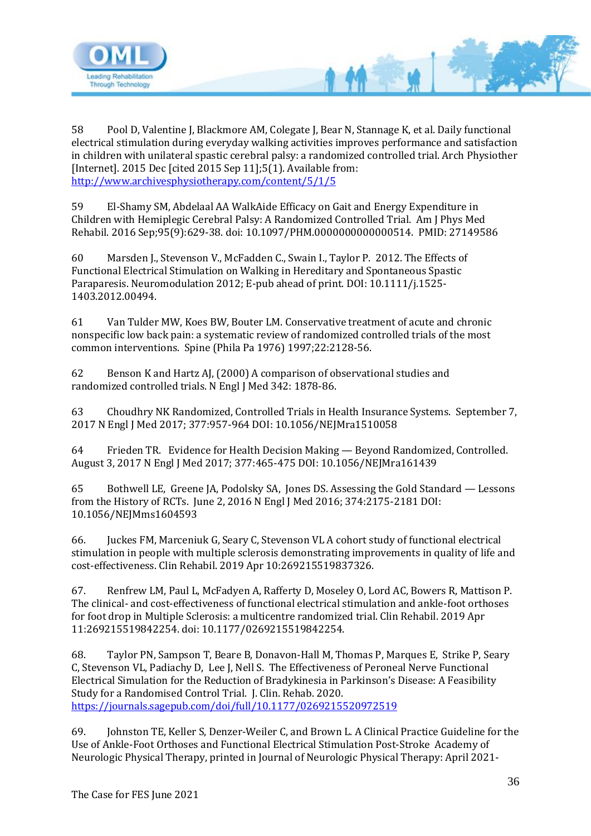

58 Pool D, Valentine J, Blackmore AM, Colegate J, Bear N, Stannage K, et al. Daily functional electrical stimulation during everyday walking activities improves performance and satisfaction in children with unilateral spastic cerebral palsy: a randomized controlled trial. Arch Physiother [Internet]. 2015 Dec [cited 2015 Sep 11];5(1). Available from: <http://www.archivesphysiotherapy.com/content/5/1/5>

 $M$ 

59 El-Shamy SM, Abdelaal AA WalkAide Efficacy on Gait and Energy Expenditure in Children with Hemiplegic Cerebral Palsy: A Randomized Controlled Trial. Am J Phys Med Rehabil. 2016 Sep;95(9):629-38. doi: 10.1097/PHM.0000000000000514. PMID: 27149586

60 Marsden J., Stevenson V., McFadden C., Swain I., Taylor P. 2012. The Effects of Functional Electrical Stimulation on Walking in Hereditary and Spontaneous Spastic Paraparesis. Neuromodulation 2012; E-pub ahead of print. DOI: 10.1111/j.1525- 1403.2012.00494.

61 Van Tulder MW, Koes BW, Bouter LM. Conservative treatment of acute and chronic nonspecific low back pain: a systematic review of randomized controlled trials of the most common interventions. Spine (Phila Pa 1976) 1997;22:2128-56.

62 Benson K and Hartz AJ, (2000) A comparison of observational studies and randomized controlled trials. N Engl J Med 342: 1878-86.

63 Choudhry NK Randomized, Controlled Trials in Health Insurance Systems. September 7, 2017 N Engl J Med 2017; 377:957-964 DOI: 10.1056/NEJMra1510058

64 Frieden TR. Evidence for Health Decision Making — Beyond Randomized, Controlled. August 3, 2017 N Engl J Med 2017; 377:465-475 DOI: 10.1056/NEJMra161439

65 Bothwell LE, Greene JA, Podolsky SA, Jones DS. Assessing the Gold Standard — Lessons from the History of RCTs. June 2, 2016 N Engl J Med 2016; 374:2175-2181 DOI: 10.1056/NEJMms1604593

66. Juckes FM, Marceniuk G, Seary C, Stevenson VL A cohort study of functional electrical stimulation in people with multiple sclerosis demonstrating improvements in quality of life and cost-effectiveness. Clin Rehabil. 2019 Apr 10:269215519837326.

67. Renfrew LM, Paul L, McFadyen A, Rafferty D, Moseley O, Lord AC, Bowers R, Mattison P. The clinical- and cost-effectiveness of functional electrical stimulation and ankle-foot orthoses for foot drop in Multiple Sclerosis: a multicentre randomized trial. Clin Rehabil. 2019 Apr 11:269215519842254. doi: 10.1177/0269215519842254.

68. Taylor PN, Sampson T, Beare B, Donavon-Hall M, Thomas P, Marques E, Strike P, Seary C, Stevenson VL, Padiachy D, Lee J, Nell S. The Effectiveness of Peroneal Nerve Functional Electrical Simulation for the Reduction of Bradykinesia in Parkinson's Disease: A Feasibility Study for a Randomised Control Trial. J. Clin. Rehab. 2020. <https://journals.sagepub.com/doi/full/10.1177/0269215520972519>

69. Johnston TE, Keller S, Denzer-Weiler C, and Brown L. A Clinical Practice Guideline for the Use of Ankle-Foot Orthoses and Functional Electrical Stimulation Post-Stroke Academy of Neurologic Physical Therapy, printed in Journal of Neurologic Physical Therapy: April 2021-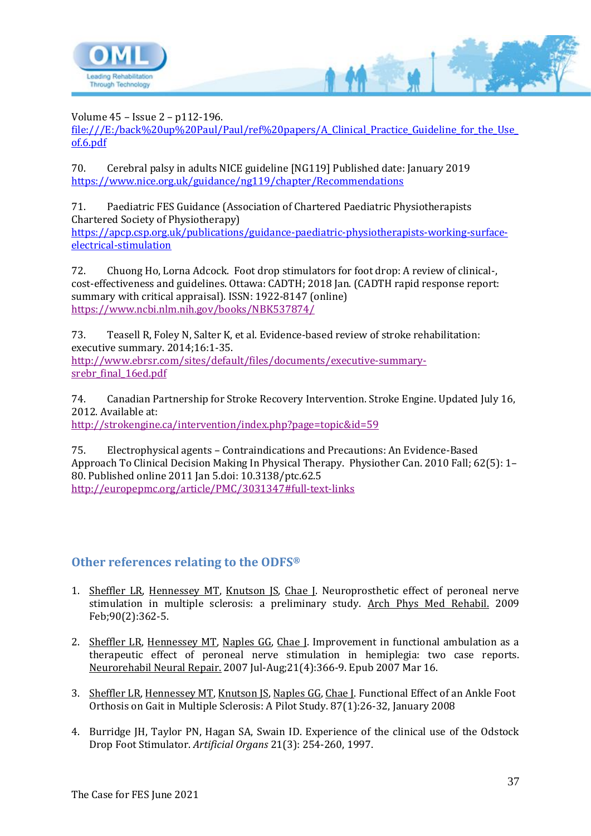

Volume 45 – Issue 2 – p112-196.

[file:///E:/back%20up%20Paul/Paul/ref%20papers/A\\_Clinical\\_Practice\\_Guideline\\_for\\_the\\_Use\\_](file:///E:/back%20up%20Paul/Paul/ref%20papers/A_Clinical_Practice_Guideline_for_the_Use_of.6.pdf) [of.6.pdf](file:///E:/back%20up%20Paul/Paul/ref%20papers/A_Clinical_Practice_Guideline_for_the_Use_of.6.pdf)

M

70. Cerebral palsy in adults NICE guideline [NG119] Published date: January 2019 <https://www.nice.org.uk/guidance/ng119/chapter/Recommendations>

71. Paediatric FES Guidance (Association of Chartered Paediatric Physiotherapists Chartered Society of Physiotherapy) [https://apcp.csp.org.uk/publications/guidance-paediatric-physiotherapists-working-surface](https://apcp.csp.org.uk/publications/guidance-paediatric-physiotherapists-working-surface-electrical-stimulation)[electrical-stimulation](https://apcp.csp.org.uk/publications/guidance-paediatric-physiotherapists-working-surface-electrical-stimulation)

72. Chuong Ho, Lorna Adcock. Foot drop stimulators for foot drop: A review of clinical-, cost-effectiveness and guidelines. Ottawa: CADTH; 2018 Jan. (CADTH rapid response report: summary with critical appraisal). ISSN: 1922-8147 (online) <https://www.ncbi.nlm.nih.gov/books/NBK537874/>

73. Teasell R, Foley N, Salter K, et al. Evidence-based review of stroke rehabilitation: executive summary. 2014;16:1-35. [http://www.ebrsr.com/sites/default/files/documents/executive-summary](http://www.ebrsr.com/sites/default/files/documents/executive-summary-srebr_final_16ed.pdf)srebr final 16ed.pdf

74. Canadian Partnership for Stroke Recovery Intervention. Stroke Engine. Updated July 16, 2012. Available at:

<http://strokengine.ca/intervention/index.php?page=topic&id=59>

75. Electrophysical agents – Contraindications and Precautions: An Evidence-Based Approach To Clinical Decision Making In Physical Therapy. Physiother Can. 2010 Fall; 62(5): 1– 80. Published online 2011 Jan 5.doi: 10.3138/ptc.62.5 <http://europepmc.org/article/PMC/3031347#full-text-links>

#### <span id="page-36-0"></span>**Other references relating to the ODFS®**

- 1. [Sheffler LR,](http://www.ncbi.nlm.nih.gov/pubmed?term=%22Sheffler%20LR%22%5BAuthor%5D) [Hennessey MT,](http://www.ncbi.nlm.nih.gov/pubmed?term=%22Hennessey%20MT%22%5BAuthor%5D) [Knutson JS,](http://www.ncbi.nlm.nih.gov/pubmed?term=%22Knutson%20JS%22%5BAuthor%5D) [Chae J.](http://www.ncbi.nlm.nih.gov/pubmed?term=%22Chae%20J%22%5BAuthor%5D) Neuroprosthetic effect of peroneal nerve stimulation in multiple sclerosis: a preliminary study. [Arch Phys Med Rehabil.](javascript:AL_get(this,%20) 2009 Feb;90(2):362-5.
- 2. [Sheffler LR,](http://www.ncbi.nlm.nih.gov/pubmed?term=%22Sheffler%20LR%22%5BAuthor%5D) [Hennessey MT,](http://www.ncbi.nlm.nih.gov/pubmed?term=%22Hennessey%20MT%22%5BAuthor%5D) [Naples GG,](http://www.ncbi.nlm.nih.gov/pubmed?term=%22Naples%20GG%22%5BAuthor%5D) [Chae J.](http://www.ncbi.nlm.nih.gov/pubmed?term=%22Chae%20J%22%5BAuthor%5D) Improvement in functional ambulation as a therapeutic effect of peroneal nerve stimulation in hemiplegia: two case reports. [Neurorehabil Neural Repair.](javascript:AL_get(this,%20) 2007 Jul-Aug;21(4):366-9. Epub 2007 Mar 16.
- 3. [Sheffler LR,](http://www.ncbi.nlm.nih.gov/sites/?Db=PubMed&Cmd=Search&Term=%22Sheffler%20LR%22%5BAuthor%5D&itool=EntrezSystem2.PEntrez.Pubmed.Pubmed_ResultsPanel.Pubmed_RVAbstractPlus) [Hennessey MT,](http://www.ncbi.nlm.nih.gov/sites/?Db=PubMed&Cmd=Search&Term=%22Hennessey%20MT%22%5BAuthor%5D&itool=EntrezSystem2.PEntrez.Pubmed.Pubmed_ResultsPanel.Pubmed_RVAbstractPlus) [Knutson JS,](http://www.ncbi.nlm.nih.gov/sites/?Db=PubMed&Cmd=Search&Term=%22Knutson%20JS%22%5BAuthor%5D&itool=EntrezSystem2.PEntrez.Pubmed.Pubmed_ResultsPanel.Pubmed_RVAbstractPlus) [Naples GG,](http://www.ncbi.nlm.nih.gov/sites/?Db=PubMed&Cmd=Search&Term=%22Naples%20GG%22%5BAuthor%5D&itool=EntrezSystem2.PEntrez.Pubmed.Pubmed_ResultsPanel.Pubmed_RVAbstractPlus) Chae I. Functional Effect of an Ankle Foot Orthosis on Gait in Multiple Sclerosis: A Pilot Study. 87(1):26-32, January 2008
- 4. Burridge JH, Taylor PN, Hagan SA, Swain ID. Experience of the clinical use of the Odstock Drop Foot Stimulator. *Artificial Organs* 21(3): 254-260, 1997.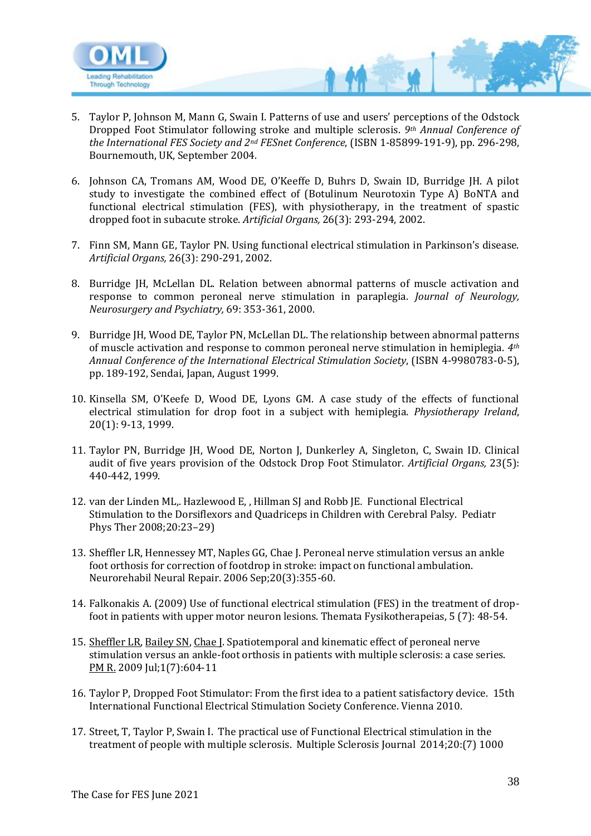

- 5. Taylor P, Johnson M, Mann G, Swain I. Patterns of use and users' perceptions of the Odstock Dropped Foot Stimulator following stroke and multiple sclerosis. *9th Annual Conference of the International FES Society and 2nd FESnet Conference*, (ISBN 1-85899-191-9), pp. 296-298, Bournemouth, UK, September 2004.
- 6. Johnson CA, Tromans AM, Wood DE, O'Keeffe D, Buhrs D, Swain ID, Burridge JH. A pilot study to investigate the combined effect of (Botulinum Neurotoxin Type A) BoNTA and functional electrical stimulation (FES), with physiotherapy, in the treatment of spastic dropped foot in subacute stroke. *Artificial Organs,* 26(3): 293-294, 2002.
- 7. Finn SM, Mann GE, Taylor PN. Using functional electrical stimulation in Parkinson's disease. *Artificial Organs,* 26(3): 290-291, 2002.
- 8. Burridge JH, McLellan DL. Relation between abnormal patterns of muscle activation and response to common peroneal nerve stimulation in paraplegia. *Journal of Neurology, Neurosurgery and Psychiatry,* 69: 353-361, 2000.
- 9. Burridge JH, Wood DE, Taylor PN, McLellan DL. The relationship between abnormal patterns of muscle activation and response to common peroneal nerve stimulation in hemiplegia. *4th Annual Conference of the International Electrical Stimulation Society*, (ISBN 4-9980783-0-5), pp. 189-192, Sendai, Japan, August 1999.
- 10. Kinsella SM, O'Keefe D, Wood DE, Lyons GM. A case study of the effects of functional electrical stimulation for drop foot in a subject with hemiplegia. *Physiotherapy Ireland*, 20(1): 9-13, 1999.
- 11. Taylor PN, Burridge JH, Wood DE, Norton J, Dunkerley A, Singleton, C, Swain ID. Clinical audit of five years provision of the Odstock Drop Foot Stimulator. *Artificial Organs,* 23(5): 440-442, 1999.
- 12. van der Linden ML,. Hazlewood E, , Hillman SJ and Robb JE*.* Functional Electrical Stimulation to the Dorsiflexors and Quadriceps in Children with Cerebral Palsy. Pediatr Phys Ther 2008;20:23–29)
- 13. Sheffler LR, Hennessey MT, Naples GG, Chae J. Peroneal nerve stimulation versus an ankle foot orthosis for correction of footdrop in stroke: impact on functional ambulation. Neurorehabil Neural Repair. 2006 Sep;20(3):355-60.
- 14. Falkonakis A. (2009) Use of functional electrical stimulation (FES) in the treatment of dropfoot in patients with upper motor neuron lesions. Themata Fysikotherapeias, 5 (7): 48-54.
- 15. [Sheffler LR,](http://www.ncbi.nlm.nih.gov/pubmed?term=%22Sheffler%20LR%22%5BAuthor%5D) [Bailey SN,](http://www.ncbi.nlm.nih.gov/pubmed?term=%22Bailey%20SN%22%5BAuthor%5D) Chae I. Spatiotemporal and kinematic effect of peroneal nerve stimulation versus an ankle-foot orthosis in patients with multiple sclerosis: a case series. [PM R.](javascript:AL_get(this,%20) 2009 Jul;1(7):604-11
- 16. Taylor P, Dropped Foot Stimulator: From the first idea to a patient satisfactory device. 15th International Functional Electrical Stimulation Society Conference. Vienna 2010.
- 17. Street, T, Taylor P, Swain I. The practical use of Functional Electrical stimulation in the treatment of people with multiple sclerosis. Multiple Sclerosis Journal 2014;20:(7) 1000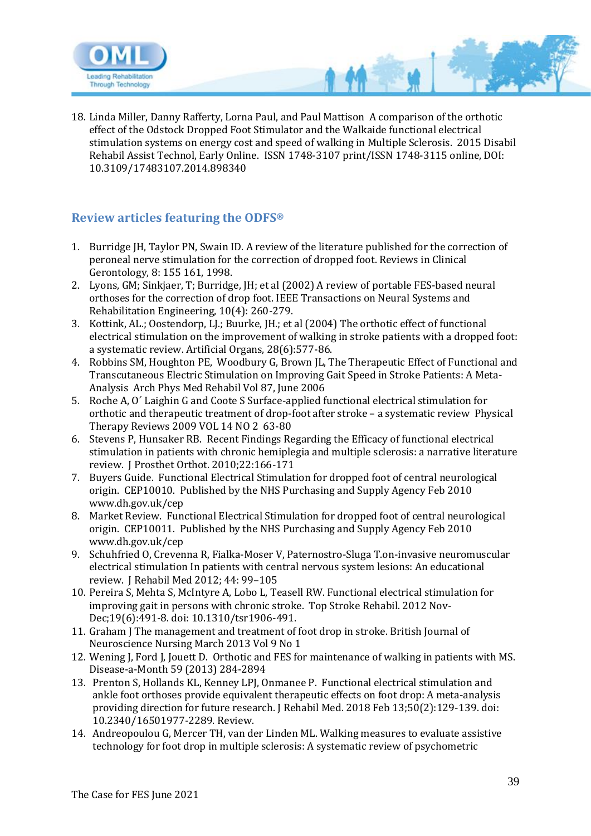

18. Linda Miller, Danny Rafferty, Lorna Paul, and Paul Mattison A comparison of the orthotic effect of the Odstock Dropped Foot Stimulator and the Walkaide functional electrical stimulation systems on energy cost and speed of walking in Multiple Sclerosis. 2015 Disabil Rehabil Assist Technol, Early Online. ISSN 1748-3107 print/ISSN 1748-3115 online, DOI: 10.3109/17483107.2014.898340

### <span id="page-38-0"></span>**Review articles featuring the ODFS®**

- 1. Burridge JH, Taylor PN, Swain ID. A review of the literature published for the correction of peroneal nerve stimulation for the correction of dropped foot. Reviews in Clinical Gerontology, 8: 155 161, 1998.
- 2. Lyons, GM; Sinkjaer, T; Burridge, JH; et al (2002) A review of portable FES-based neural orthoses for the correction of drop foot. IEEE Transactions on Neural Systems and Rehabilitation Engineering, 10(4): 260-279.
- 3. Kottink, AL.; Oostendorp, LJ.; Buurke, JH.; et al (2004) The orthotic effect of functional electrical stimulation on the improvement of walking in stroke patients with a dropped foot: a systematic review. Artificial Organs, 28(6):577-86.
- 4. Robbins SM, Houghton PE, Woodbury G, Brown JL, The Therapeutic Effect of Functional and Transcutaneous Electric Stimulation on Improving Gait Speed in Stroke Patients: A Meta-Analysis Arch Phys Med Rehabil Vol 87, June 2006
- 5. Roche A, O´ Laighin G and Coote S Surface-applied functional electrical stimulation for orthotic and therapeutic treatment of drop-foot after stroke – a systematic review Physical Therapy Reviews 2009 VOL 14 NO 2 63-80
- 6. Stevens P, Hunsaker RB. Recent Findings Regarding the Efficacy of functional electrical stimulation in patients with chronic hemiplegia and multiple sclerosis: a narrative literature review. J Prosthet Orthot. 2010;22:166-171
- 7. Buyers Guide. Functional Electrical Stimulation for dropped foot of central neurological origin. CEP10010. Published by the NHS Purchasing and Supply Agency Feb 2010 www.dh.gov.uk/cep
- 8. Market Review. Functional Electrical Stimulation for dropped foot of central neurological origin. CEP10011. Published by the NHS Purchasing and Supply Agency Feb 2010 www.dh.gov.uk/cep
- 9. Schuhfried O, Crevenna R, Fialka-Moser V, Paternostro-Sluga T.on-invasive neuromuscular electrical stimulation In patients with central nervous system lesions: An educational review. J Rehabil Med 2012; 44: 99–105
- 10. Pereira S, Mehta S, McIntyre A, Lobo L, Teasell RW. Functional electrical stimulation for improving gait in persons with chronic stroke. Top Stroke Rehabil. 2012 Nov-Dec;19(6):491-8. doi: 10.1310/tsr1906-491.
- 11. Graham J The management and treatment of foot drop in stroke. British Journal of Neuroscience Nursing March 2013 Vol 9 No 1
- 12. Wening J, Ford J, Jouett D. Orthotic and FES for maintenance of walking in patients with MS. Disease-a-Month 59 (2013) 284-2894
- 13. Prenton S, Hollands KL, Kenney LPJ, Onmanee P. Functional electrical stimulation and ankle foot orthoses provide equivalent therapeutic effects on foot drop: A meta-analysis providing direction for future research. J Rehabil Med. 2018 Feb 13;50(2):129-139. doi: 10.2340/16501977-2289. Review.
- 14. Andreopoulou G, Mercer TH, van der Linden ML. Walking measures to evaluate assistive technology for foot drop in multiple sclerosis: A systematic review of psychometric